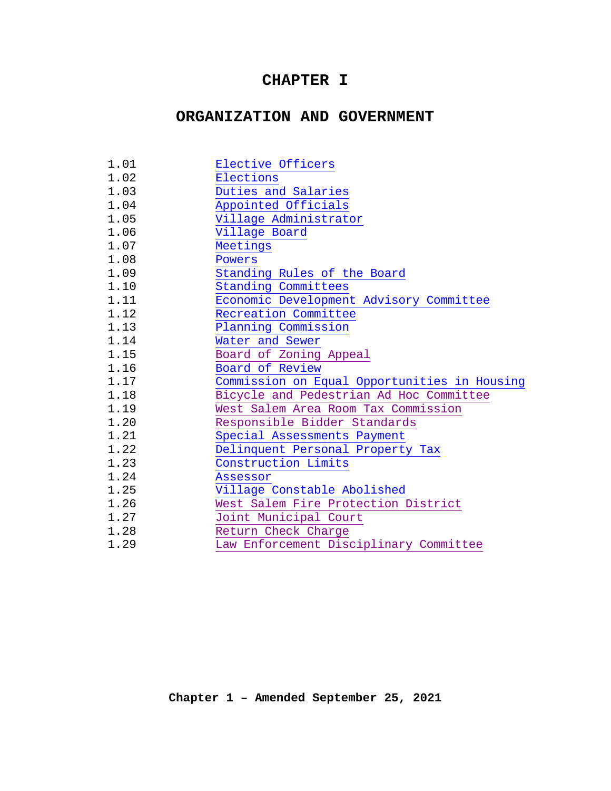# **CHAPTER I**

# **ORGANIZATION AND GOVERNMENT**

| 1.01 | Elective Officers                            |
|------|----------------------------------------------|
| 1.02 | Elections                                    |
| 1.03 | Duties and Salaries                          |
| 1.04 | Appointed Officials                          |
| 1.05 | Village Administrator                        |
| 1.06 | Village Board                                |
| 1.07 | Meetings                                     |
| 1.08 | Powers                                       |
| 1.09 | Standing Rules of the Board                  |
| 1.10 | Standing Committees                          |
| 1.11 | Economic Development Advisory Committee      |
| 1.12 | Recreation Committee                         |
| 1.13 | Planning Commission                          |
| 1.14 | Water and Sewer                              |
| 1.15 | Board of Zoning Appeal                       |
| 1.16 | Board of Review                              |
| 1.17 | Commission on Equal Opportunities in Housing |
| 1.18 | Bicycle and Pedestrian Ad Hoc Committee      |
| 1.19 | West Salem Area Room Tax Commission          |
| 1.20 | Responsible Bidder Standards                 |
| 1.21 | Special Assessments Payment                  |
| 1.22 | Delinquent Personal Property Tax             |
| 1.23 | Construction Limits                          |
| 1.24 | Assessor                                     |
| 1.25 | Village Constable Abolished                  |
| 1.26 | West Salem Fire Protection District          |
| 1.27 | Joint Municipal Court                        |
| 1.28 | Return Check Charge                          |
| 1.29 | Law Enforcement Disciplinary Committee       |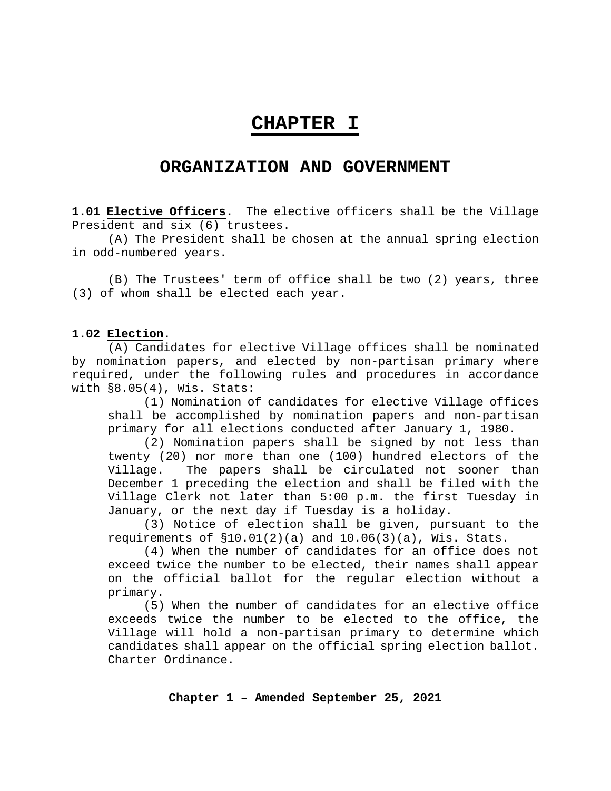# **CHAPTER I**

## **ORGANIZATION AND GOVERNMENT**

<span id="page-1-0"></span>**1.01 Elective Officers.** The elective officers shall be the Village President and six (6) trustees.

(A) The President shall be chosen at the annual spring election in odd-numbered years.

(B) The Trustees' term of office shall be two (2) years, three (3) of whom shall be elected each year.

#### <span id="page-1-1"></span>**1.02 Election.**

(A) Candidates for elective Village offices shall be nominated by nomination papers, and elected by non-partisan primary where required, under the following rules and procedures in accordance with  $\S 8.05(4)$ , Wis. Stats:

(1) Nomination of candidates for elective Village offices shall be accomplished by nomination papers and non-partisan primary for all elections conducted after January 1, 1980.

(2) Nomination papers shall be signed by not less than twenty (20) nor more than one (100) hundred electors of the Village. The papers shall be circulated not sooner than December 1 preceding the election and shall be filed with the Village Clerk not later than 5:00 p.m. the first Tuesday in January, or the next day if Tuesday is a holiday.

(3) Notice of election shall be given, pursuant to the requirements of  $$10.01(2)(a)$  and  $10.06(3)(a)$ , Wis. Stats.

(4) When the number of candidates for an office does not exceed twice the number to be elected, their names shall appear on the official ballot for the regular election without a primary.

(5) When the number of candidates for an elective office exceeds twice the number to be elected to the office, the Village will hold a non-partisan primary to determine which candidates shall appear on the official spring election ballot. Charter Ordinance.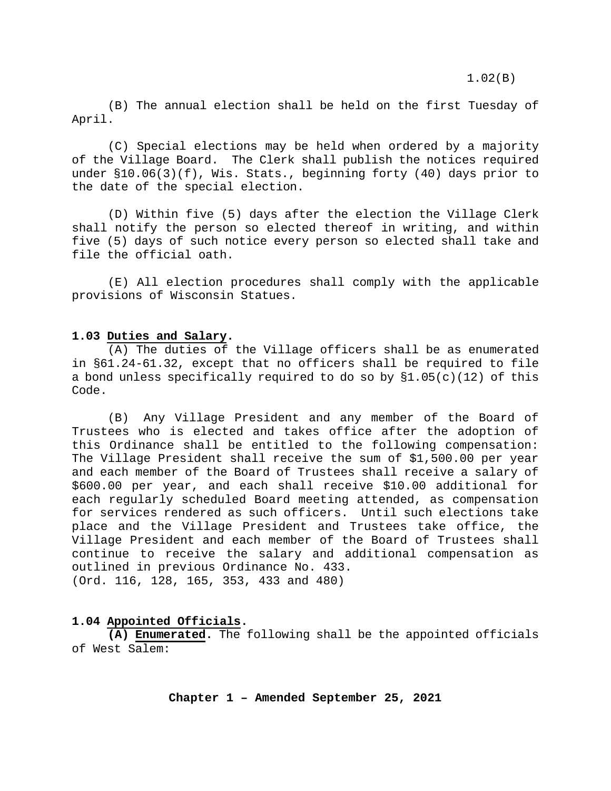1.02(B)

(B) The annual election shall be held on the first Tuesday of April.

(C) Special elections may be held when ordered by a majority of the Village Board. The Clerk shall publish the notices required under §10.06(3)(f), Wis. Stats., beginning forty (40) days prior to the date of the special election.

(D) Within five (5) days after the election the Village Clerk shall notify the person so elected thereof in writing, and within five (5) days of such notice every person so elected shall take and file the official oath.

(E) All election procedures shall comply with the applicable provisions of Wisconsin Statues.

#### <span id="page-2-0"></span>**1.03 Duties and Salary.**

(A) The duties of the Village officers shall be as enumerated in §61.24-61.32, except that no officers shall be required to file a bond unless specifically required to do so by  $\S1.05(c)(12)$  of this Code.

(B) Any Village President and any member of the Board of Trustees who is elected and takes office after the adoption of this Ordinance shall be entitled to the following compensation: The Village President shall receive the sum of \$1,500.00 per year and each member of the Board of Trustees shall receive a salary of \$600.00 per year, and each shall receive \$10.00 additional for each regularly scheduled Board meeting attended, as compensation for services rendered as such officers. Until such elections take place and the Village President and Trustees take office, the Village President and each member of the Board of Trustees shall continue to receive the salary and additional compensation as outlined in previous Ordinance No. 433. (Ord. 116, 128, 165, 353, 433 and 480)

#### <span id="page-2-1"></span>**1.04 Appointed Officials.**

**(A) Enumerated.** The following shall be the appointed officials of West Salem: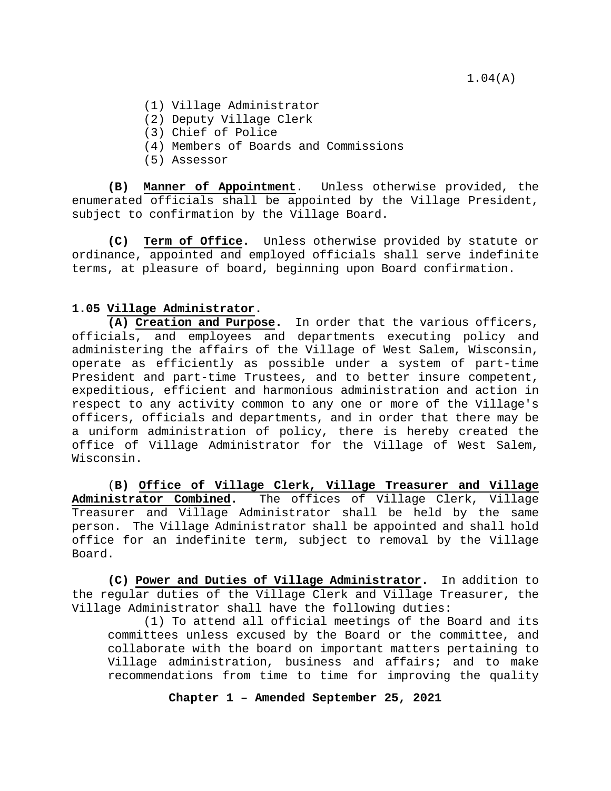1.04(A)

- (1) Village Administrator
- (2) Deputy Village Clerk
- (3) Chief of Police
- (4) Members of Boards and Commissions
- (5) Assessor

**(B) Manner of Appointment**. Unless otherwise provided, the enumerated officials shall be appointed by the Village President, subject to confirmation by the Village Board.

**(C) Term of Office.** Unless otherwise provided by statute or ordinance, appointed and employed officials shall serve indefinite terms, at pleasure of board, beginning upon Board confirmation.

#### <span id="page-3-0"></span>**1.05 Village Administrator.**

**(A) Creation and Purpose.** In order that the various officers, officials, and employees and departments executing policy and administering the affairs of the Village of West Salem, Wisconsin, operate as efficiently as possible under a system of part-time President and part-time Trustees, and to better insure competent, expeditious, efficient and harmonious administration and action in respect to any activity common to any one or more of the Village's officers, officials and departments, and in order that there may be a uniform administration of policy, there is hereby created the office of Village Administrator for the Village of West Salem, Wisconsin.

(**B) Office of Village Clerk, Village Treasurer and Village Administrator Combined.** The offices of Village Clerk, Village Treasurer and Village Administrator shall be held by the same person. The Village Administrator shall be appointed and shall hold office for an indefinite term, subject to removal by the Village Board.

**(C) Power and Duties of Village Administrator.** In addition to the regular duties of the Village Clerk and Village Treasurer, the Village Administrator shall have the following duties:

(1) To attend all official meetings of the Board and its committees unless excused by the Board or the committee, and collaborate with the board on important matters pertaining to Village administration, business and affairs; and to make recommendations from time to time for improving the quality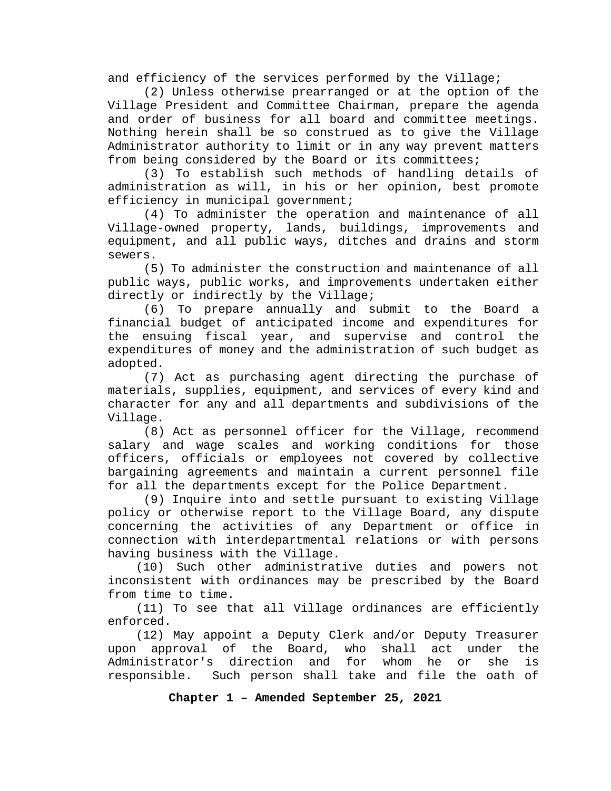and efficiency of the services performed by the Village;

(2) Unless otherwise prearranged or at the option of the Village President and Committee Chairman, prepare the agenda and order of business for all board and committee meetings. Nothing herein shall be so construed as to give the Village Administrator authority to limit or in any way prevent matters from being considered by the Board or its committees;

(3) To establish such methods of handling details of administration as will, in his or her opinion, best promote efficiency in municipal government;

(4) To administer the operation and maintenance of all Village-owned property, lands, buildings, improvements and equipment, and all public ways, ditches and drains and storm sewers.

(5) To administer the construction and maintenance of all public ways, public works, and improvements undertaken either directly or indirectly by the Village;

(6) To prepare annually and submit to the Board a financial budget of anticipated income and expenditures for the ensuing fiscal year, and supervise and control the expenditures of money and the administration of such budget as adopted.

(7) Act as purchasing agent directing the purchase of materials, supplies, equipment, and services of every kind and character for any and all departments and subdivisions of the Village.

(8) Act as personnel officer for the Village, recommend salary and wage scales and working conditions for those officers, officials or employees not covered by collective bargaining agreements and maintain a current personnel file for all the departments except for the Police Department.

(9) Inquire into and settle pursuant to existing Village policy or otherwise report to the Village Board, any dispute concerning the activities of any Department or office in connection with interdepartmental relations or with persons having business with the Village.

 (10) Such other administrative duties and powers not inconsistent with ordinances may be prescribed by the Board from time to time.

 (11) To see that all Village ordinances are efficiently enforced.

 (12) May appoint a Deputy Clerk and/or Deputy Treasurer upon approval of the Board, who shall act under the<br>Administrator's direction and for whom he or she is Administrator's direction and for whom he or she is responsible. Such person shall take and file the oath of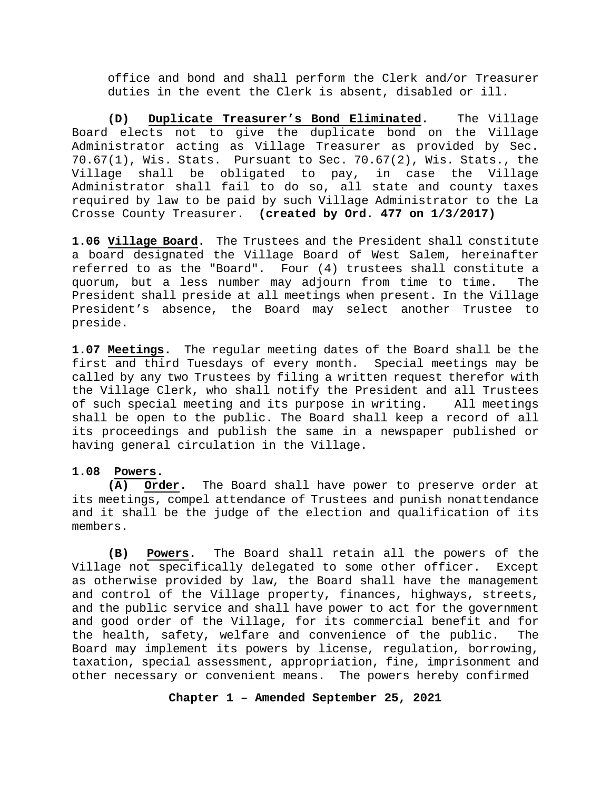office and bond and shall perform the Clerk and/or Treasurer duties in the event the Clerk is absent, disabled or ill.

**(D) Duplicate Treasurer's Bond Eliminated.** The Village Board elects not to give the duplicate bond on the Village Administrator acting as Village Treasurer as provided by Sec. 70.67(1), Wis. Stats. Pursuant to Sec. 70.67(2), Wis. Stats., the Village shall be obligated to pay, in case the Village Administrator shall fail to do so, all state and county taxes required by law to be paid by such Village Administrator to the La Crosse County Treasurer. **(created by Ord. 477 on 1/3/2017)**

<span id="page-5-0"></span>**1.06 Village Board.** The Trustees and the President shall constitute a board designated the Village Board of West Salem, hereinafter referred to as the "Board". Four (4) trustees shall constitute a quorum, but a less number may adjourn from time to time. The President shall preside at all meetings when present. In the Village President's absence, the Board may select another Trustee to preside.

<span id="page-5-1"></span>**1.07 Meetings.** The regular meeting dates of the Board shall be the first and third Tuesdays of every month. Special meetings may be called by any two Trustees by filing a written request therefor with the Village Clerk, who shall notify the President and all Trustees of such special meeting and its purpose in writing. All meetings shall be open to the public. The Board shall keep a record of all its proceedings and publish the same in a newspaper published or having general circulation in the Village.

#### <span id="page-5-2"></span>**1.08 Powers.**

**(A) Order.** The Board shall have power to preserve order at its meetings, compel attendance of Trustees and punish nonattendance and it shall be the judge of the election and qualification of its members.

**(B) Powers.** The Board shall retain all the powers of the Village not specifically delegated to some other officer. Except as otherwise provided by law, the Board shall have the management and control of the Village property, finances, highways, streets, and the public service and shall have power to act for the government and good order of the Village, for its commercial benefit and for the health, safety, welfare and convenience of the public. The Board may implement its powers by license, regulation, borrowing, taxation, special assessment, appropriation, fine, imprisonment and other necessary or convenient means. The powers hereby confirmed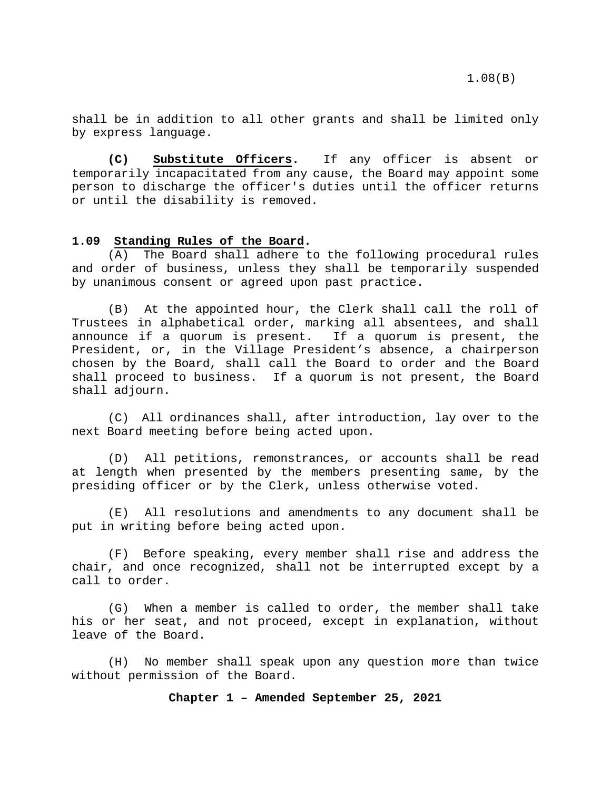shall be in addition to all other grants and shall be limited only by express language.

**(C) Substitute Officers.** If any officer is absent or temporarily incapacitated from any cause, the Board may appoint some person to discharge the officer's duties until the officer returns or until the disability is removed.

#### <span id="page-6-0"></span>**1.09 Standing Rules of the Board.**

(A) The Board shall adhere to the following procedural rules and order of business, unless they shall be temporarily suspended by unanimous consent or agreed upon past practice.

(B) At the appointed hour, the Clerk shall call the roll of Trustees in alphabetical order, marking all absentees, and shall<br>announce if a quorum is present. If a quorum is present, the announce if a quorum is present. President, or, in the Village President's absence, a chairperson chosen by the Board, shall call the Board to order and the Board shall proceed to business. If a quorum is not present, the Board shall adjourn.

(C) All ordinances shall, after introduction, lay over to the next Board meeting before being acted upon.

(D) All petitions, remonstrances, or accounts shall be read at length when presented by the members presenting same, by the presiding officer or by the Clerk, unless otherwise voted.

(E) All resolutions and amendments to any document shall be put in writing before being acted upon.

(F) Before speaking, every member shall rise and address the chair, and once recognized, shall not be interrupted except by a call to order.

(G) When a member is called to order, the member shall take his or her seat, and not proceed, except in explanation, without leave of the Board.

(H) No member shall speak upon any question more than twice without permission of the Board.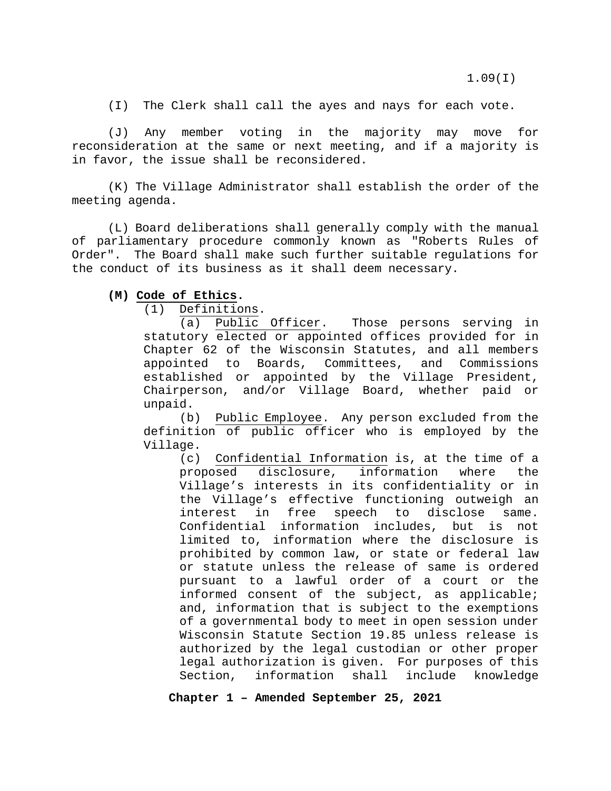(I) The Clerk shall call the ayes and nays for each vote.

(J) Any member voting in the majority may move for reconsideration at the same or next meeting, and if a majority is in favor, the issue shall be reconsidered.

(K) The Village Administrator shall establish the order of the meeting agenda.

(L) Board deliberations shall generally comply with the manual of parliamentary procedure commonly known as "Roberts Rules of Order". The Board shall make such further suitable regulations for the conduct of its business as it shall deem necessary.

#### **(M) Code of Ethics.**

(1) Definitions.

(a) Public Officer. Those persons serving in statutory elected or appointed offices provided for in Chapter 62 of the Wisconsin Statutes, and all members appointed to Boards, Committees, and Commissions established or appointed by the Village President, Chairperson, and/or Village Board, whether paid or unpaid.

(b) Public Employee. Any person excluded from the definition of public officer who is employed by the Village.

(c) Confidential Information is, at the time of a proposed disclosure, information where the Village's interests in its confidentiality or in the Village's effective functioning outweigh an interest in free speech to disclose same. Confidential information includes, but is not limited to, information where the disclosure is prohibited by common law, or state or federal law or statute unless the release of same is ordered pursuant to a lawful order of a court or the informed consent of the subject, as applicable; and, information that is subject to the exemptions of a governmental body to meet in open session under Wisconsin Statute Section 19.85 unless release is authorized by the legal custodian or other proper legal authorization is given. For purposes of this<br>Section, information shall include knowledge Section, information shall include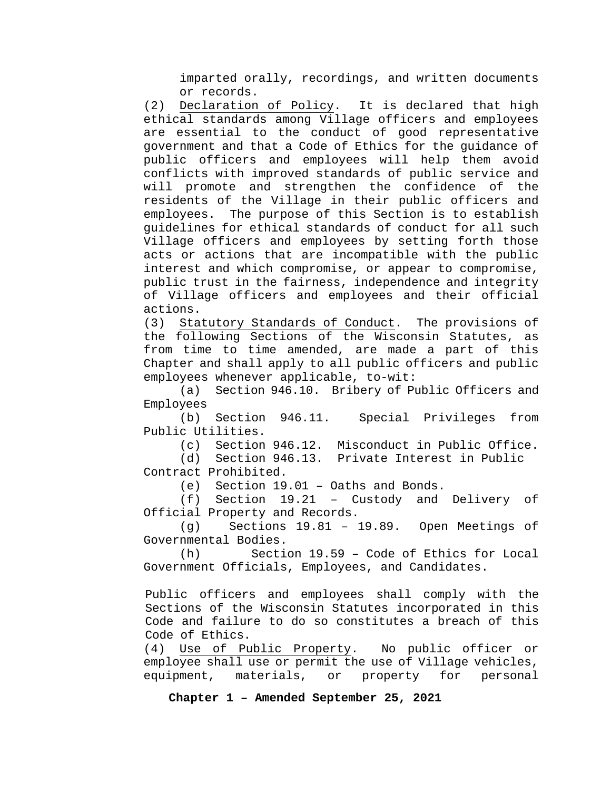imparted orally, recordings, and written documents or records.

(2) Declaration of Policy. It is declared that high ethical standards among Village officers and employees are essential to the conduct of good representative government and that a Code of Ethics for the guidance of public officers and employees will help them avoid conflicts with improved standards of public service and will promote and strengthen the confidence of the residents of the Village in their public officers and employees. The purpose of this Section is to establish guidelines for ethical standards of conduct for all such Village officers and employees by setting forth those acts or actions that are incompatible with the public interest and which compromise, or appear to compromise, public trust in the fairness, independence and integrity of Village officers and employees and their official actions.

(3) Statutory Standards of Conduct. The provisions of the following Sections of the Wisconsin Statutes, as from time to time amended, are made a part of this Chapter and shall apply to all public officers and public employees whenever applicable, to-wit:

(a) Section 946.10. Bribery of Public Officers and Employees<br>(b) Section

946.11. Special Privileges from Public Utilities.<br>(c) Section

Section 946.12. Misconduct in Public Office.

(d) Section 946.13. Private Interest in Public Contract Prohibited.

(e) Section 19.01 – Oaths and Bonds.

(f) Section 19.21 – Custody and Delivery of Official Property and Records.

(g) Sections 19.81 – 19.89. Open Meetings of Governmental Bodies.<br>(h) Secti

Section  $19.59$  - Code of Ethics for Local Government Officials, Employees, and Candidates.

Public officers and employees shall comply with the Sections of the Wisconsin Statutes incorporated in this Code and failure to do so constitutes a breach of this Code of Ethics.<br>(4) Use of Pu

Use of Public Property. No public officer or employee shall use or permit the use of Village vehicles, equipment, materials, or property for personal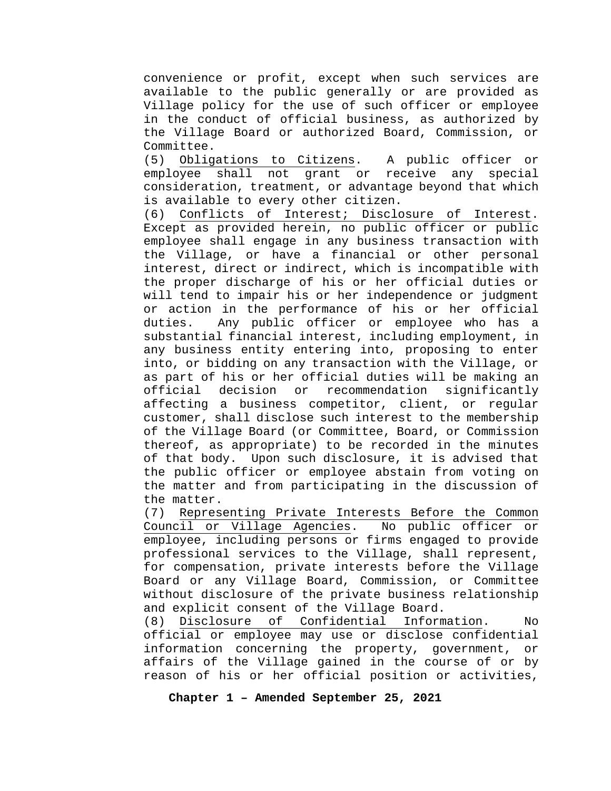convenience or profit, except when such services are available to the public generally or are provided as Village policy for the use of such officer or employee in the conduct of official business, as authorized by the Village Board or authorized Board, Commission, or Committee.

(5) Obligations to Citizens. A public officer or employee shall not grant or receive any special consideration, treatment, or advantage beyond that which is available to every other citizen.

(6) Conflicts of Interest; Disclosure of Interest. Except as provided herein, no public officer or public employee shall engage in any business transaction with the Village, or have a financial or other personal interest, direct or indirect, which is incompatible with the proper discharge of his or her official duties or will tend to impair his or her independence or judgment or action in the performance of his or her official<br>duties. Any public officer or employee who has a Any public officer or employee who has a substantial financial interest, including employment, in any business entity entering into, proposing to enter into, or bidding on any transaction with the Village, or as part of his or her official duties will be making an official decision or recommendation significantly affecting a business competitor, client, or regular customer, shall disclose such interest to the membership of the Village Board (or Committee, Board, or Commission thereof, as appropriate) to be recorded in the minutes of that body. Upon such disclosure, it is advised that the public officer or employee abstain from voting on the matter and from participating in the discussion of the matter.

(7) Representing Private Interests Before the Common Council or Village Agencies. No public officer or employee, including persons or firms engaged to provide professional services to the Village, shall represent, for compensation, private interests before the Village Board or any Village Board, Commission, or Committee without disclosure of the private business relationship and explicit consent of the Village Board.<br>(8) Disclosure of Confidential Inform

of Confidential Information. No official or employee may use or disclose confidential information concerning the property, government, or affairs of the Village gained in the course of or by reason of his or her official position or activities,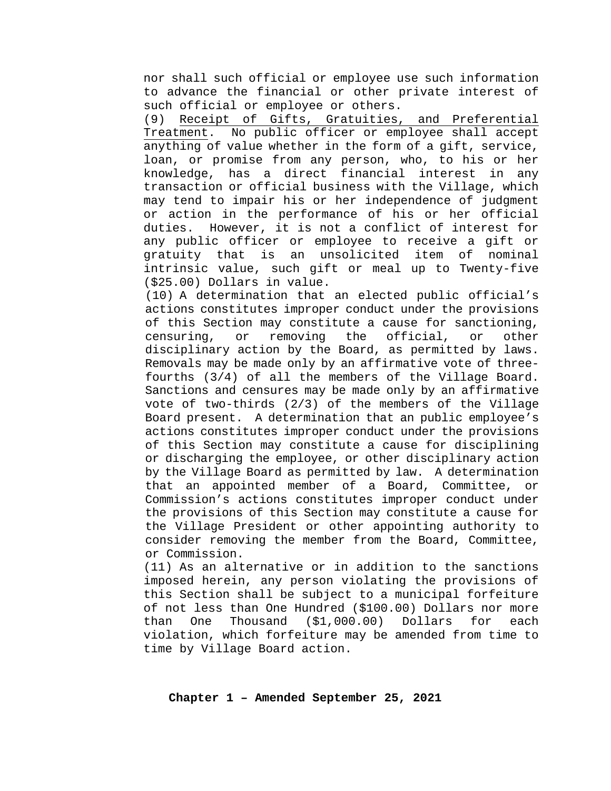nor shall such official or employee use such information to advance the financial or other private interest of such official or employee or others.

(9) Receipt of Gifts, Gratuities, and Preferential Treatment. No public officer or employee shall accept anything of value whether in the form of a gift, service, loan, or promise from any person, who, to his or her knowledge, has a direct financial interest in any transaction or official business with the Village, which may tend to impair his or her independence of judgment or action in the performance of his or her official duties. However, it is not a conflict of interest for any public officer or employee to receive a gift or gratuity that is an unsolicited item of nominal intrinsic value, such gift or meal up to Twenty-five (\$25.00) Dollars in value.

(10) A determination that an elected public official's actions constitutes improper conduct under the provisions of this Section may constitute a cause for sanctioning,<br>censuring, or removing the official, or other censuring, or removing the official, or other disciplinary action by the Board, as permitted by laws. Removals may be made only by an affirmative vote of threefourths (3/4) of all the members of the Village Board. Sanctions and censures may be made only by an affirmative vote of two-thirds (2/3) of the members of the Village Board present. A determination that an public employee's actions constitutes improper conduct under the provisions of this Section may constitute a cause for disciplining or discharging the employee, or other disciplinary action by the Village Board as permitted by law. A determination that an appointed member of a Board, Committee, or Commission's actions constitutes improper conduct under the provisions of this Section may constitute a cause for the Village President or other appointing authority to consider removing the member from the Board, Committee, or Commission.

(11) As an alternative or in addition to the sanctions imposed herein, any person violating the provisions of this Section shall be subject to a municipal forfeiture of not less than One Hundred (\$100.00) Dollars nor more<br>than One Thousand (\$1,000.00) Dollars for each than One Thousand (\$1,000.00) Dollars for each violation, which forfeiture may be amended from time to time by Village Board action.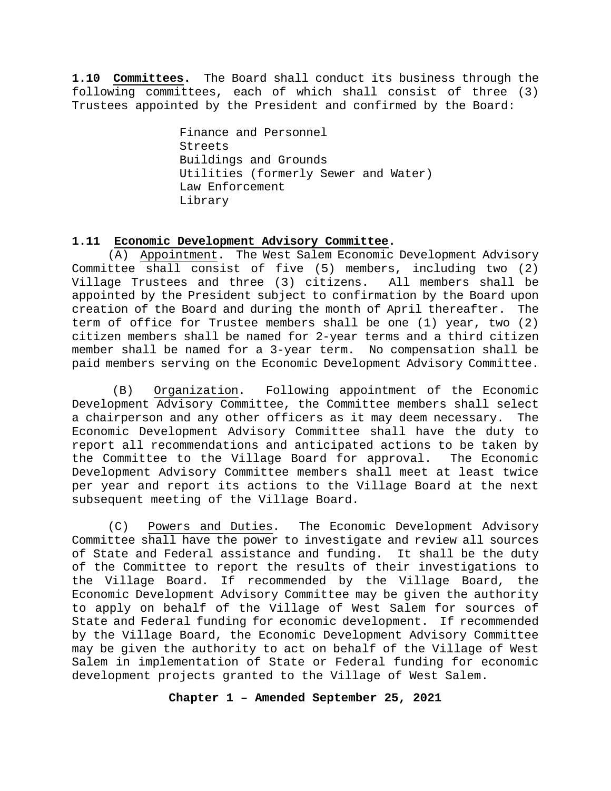<span id="page-11-0"></span>**1.10 Committees.** The Board shall conduct its business through the following committees, each of which shall consist of three (3) Trustees appointed by the President and confirmed by the Board:

> Finance and Personnel Streets Buildings and Grounds Utilities (formerly Sewer and Water) Law Enforcement Library

#### <span id="page-11-1"></span>**1.11 Economic Development Advisory Committee.**

(A) Appointment. The West Salem Economic Development Advisory Committee shall consist of five (5) members, including two (2) Village Trustees and three (3) citizens. All members shall be appointed by the President subject to confirmation by the Board upon creation of the Board and during the month of April thereafter. The term of office for Trustee members shall be one (1) year, two (2) citizen members shall be named for 2-year terms and a third citizen member shall be named for a 3-year term. No compensation shall be paid members serving on the Economic Development Advisory Committee.

(B) Organization. Following appointment of the Economic Development Advisory Committee, the Committee members shall select a chairperson and any other officers as it may deem necessary. The Economic Development Advisory Committee shall have the duty to report all recommendations and anticipated actions to be taken by<br>the Committee to the Village Board for approval. The Economic the Committee to the Village Board for approval. Development Advisory Committee members shall meet at least twice per year and report its actions to the Village Board at the next subsequent meeting of the Village Board.

(C) Powers and Duties. The Economic Development Advisory Committee shall have the power to investigate and review all sources<br>of State and Federal assistance and funding. It shall be the duty of State and Federal assistance and funding. of the Committee to report the results of their investigations to the Village Board. If recommended by the Village Board, the Economic Development Advisory Committee may be given the authority to apply on behalf of the Village of West Salem for sources of State and Federal funding for economic development. If recommended by the Village Board, the Economic Development Advisory Committee may be given the authority to act on behalf of the Village of West Salem in implementation of State or Federal funding for economic development projects granted to the Village of West Salem.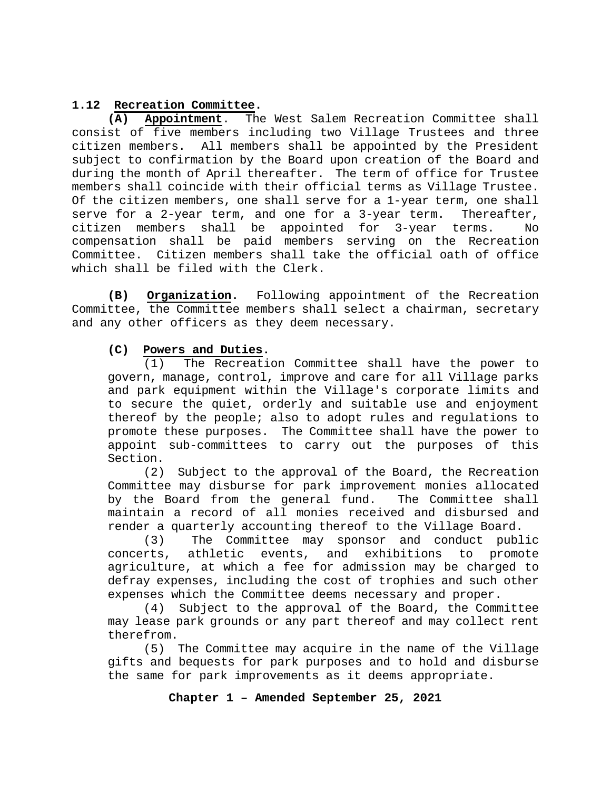<span id="page-12-0"></span>1.12 **Recreation Committee.**<br>(A) **Appointment**. The **(A) Appointment**. The West Salem Recreation Committee shall consist of five members including two Village Trustees and three citizen members. All members shall be appointed by the President subject to confirmation by the Board upon creation of the Board and during the month of April thereafter. The term of office for Trustee members shall coincide with their official terms as Village Trustee. Of the citizen members, one shall serve for a 1-year term, one shall<br>serve for a 2-year term, and one for a 3-year term. Thereafter, serve for a 2-year term, and one for a  $3$ -year term. citizen members shall be appointed for 3-year terms. No compensation shall be paid members serving on the Recreation Committee. Citizen members shall take the official oath of office which shall be filed with the Clerk.

**(B) Organization.** Following appointment of the Recreation Committee, the Committee members shall select a chairman, secretary and any other officers as they deem necessary.

#### **(C) Powers and Duties.**

(1) The Recreation Committee shall have the power to govern, manage, control, improve and care for all Village parks and park equipment within the Village's corporate limits and to secure the quiet, orderly and suitable use and enjoyment thereof by the people; also to adopt rules and regulations to promote these purposes. The Committee shall have the power to appoint sub-committees to carry out the purposes of this Section.

(2) Subject to the approval of the Board, the Recreation Committee may disburse for park improvement monies allocated<br>by the Board from the general fund. The Committee shall by the Board from the general fund. maintain a record of all monies received and disbursed and render a quarterly accounting thereof to the Village Board.

(3) The Committee may sponsor and conduct public<br>concerts, athletic events, and exhibitions to promote athletic events, and agriculture, at which a fee for admission may be charged to defray expenses, including the cost of trophies and such other expenses which the Committee deems necessary and proper.

(4) Subject to the approval of the Board, the Committee may lease park grounds or any part thereof and may collect rent therefrom.

(5) The Committee may acquire in the name of the Village gifts and bequests for park purposes and to hold and disburse the same for park improvements as it deems appropriate.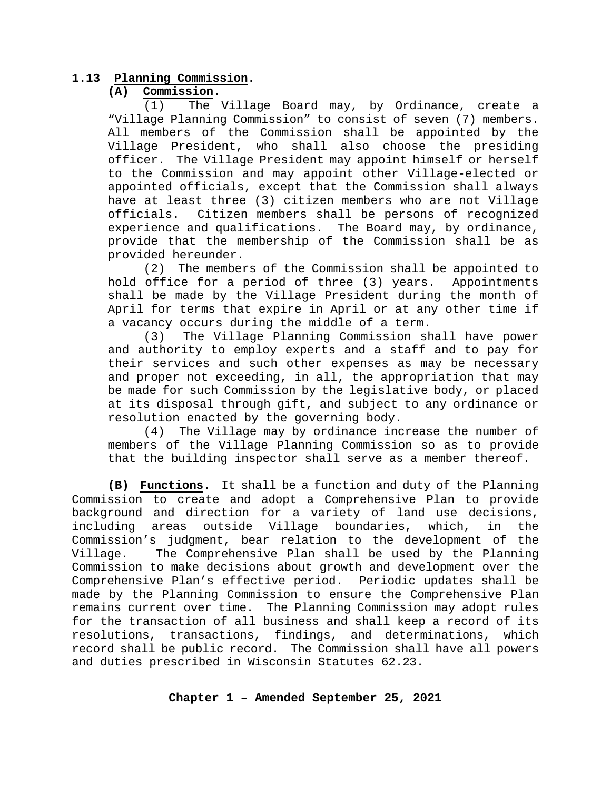#### **1.13 Planning Commission.**

#### <span id="page-13-0"></span>**(A) Commission.**

(1) The Village Board may, by Ordinance, create a "Village Planning Commission" to consist of seven (7) members. All members of the Commission shall be appointed by the Village President, who shall also choose the presiding officer. The Village President may appoint himself or herself to the Commission and may appoint other Village-elected or appointed officials, except that the Commission shall always have at least three (3) citizen members who are not Village<br>officials. Citizen members shall be persons of recognized Citizen members shall be persons of recognized experience and qualifications. The Board may, by ordinance, provide that the membership of the Commission shall be as provided hereunder.

(2) The members of the Commission shall be appointed to hold office for a period of three (3) years. Appointments shall be made by the Village President during the month of April for terms that expire in April or at any other time if a vacancy occurs during the middle of a term.<br>(3) The Village Planning Commission sh

The Village Planning Commission shall have power and authority to employ experts and a staff and to pay for their services and such other expenses as may be necessary and proper not exceeding, in all, the appropriation that may be made for such Commission by the legislative body, or placed at its disposal through gift, and subject to any ordinance or resolution enacted by the governing body.<br>(4) The Village may by ordinance inc

The Village may by ordinance increase the number of members of the Village Planning Commission so as to provide that the building inspector shall serve as a member thereof.

**(B) Functions.** It shall be a function and duty of the Planning Commission to create and adopt a Comprehensive Plan to provide background and direction for a variety of land use decisions,<br>including areas outside Village boundaries, which, in the outside Village boundaries, Commission's judgment, bear relation to the development of the The Comprehensive Plan shall be used by the Planning Commission to make decisions about growth and development over the Comprehensive Plan's effective period. Periodic updates shall be made by the Planning Commission to ensure the Comprehensive Plan remains current over time. The Planning Commission may adopt rules for the transaction of all business and shall keep a record of its resolutions, transactions, findings, and determinations, which record shall be public record. The Commission shall have all powers and duties prescribed in Wisconsin Statutes 62.23.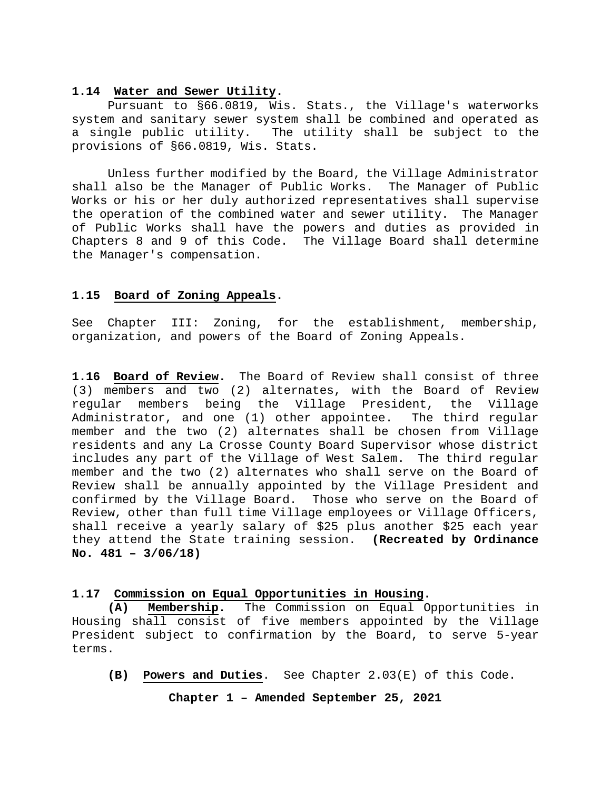#### <span id="page-14-0"></span>**1.14 Water and Sewer Utility.**

Pursuant to §66.0819, Wis. Stats., the Village's waterworks system and sanitary sewer system shall be combined and operated as a single public utility. The utility shall be subject to the provisions of §66.0819, Wis. Stats.

Unless further modified by the Board, the Village Administrator shall also be the Manager of Public Works. The Manager of Public Works or his or her duly authorized representatives shall supervise the operation of the combined water and sewer utility. The Manager of Public Works shall have the powers and duties as provided in Chapters 8 and 9 of this Code. The Village Board shall determine the Manager's compensation.

#### <span id="page-14-1"></span>**1.15 Board of Zoning Appeals.**

See Chapter III: Zoning, for the establishment, membership, organization, and powers of the Board of Zoning Appeals.

<span id="page-14-2"></span>**1.16 Board of Review.** The Board of Review shall consist of three (3) members and two (2) alternates, with the Board of Review regular members being the Village President, the Village Administrator, and one (1) other appointee. The third regular member and the two (2) alternates shall be chosen from Village residents and any La Crosse County Board Supervisor whose district includes any part of the Village of West Salem. The third regular member and the two (2) alternates who shall serve on the Board of Review shall be annually appointed by the Village President and confirmed by the Village Board. Those who serve on the Board of Review, other than full time Village employees or Village Officers, shall receive a yearly salary of \$25 plus another \$25 each year they attend the State training session. **(Recreated by Ordinance No. 481 – 3/06/18)**

#### <span id="page-14-3"></span>**1.17 Commission on Equal Opportunities in Housing.**

**(A) Membership.** The Commission on Equal Opportunities in Housing shall consist of five members appointed by the Village President subject to confirmation by the Board, to serve 5-year terms.

**(B) Powers and Duties**. See Chapter 2.03(E) of this Code.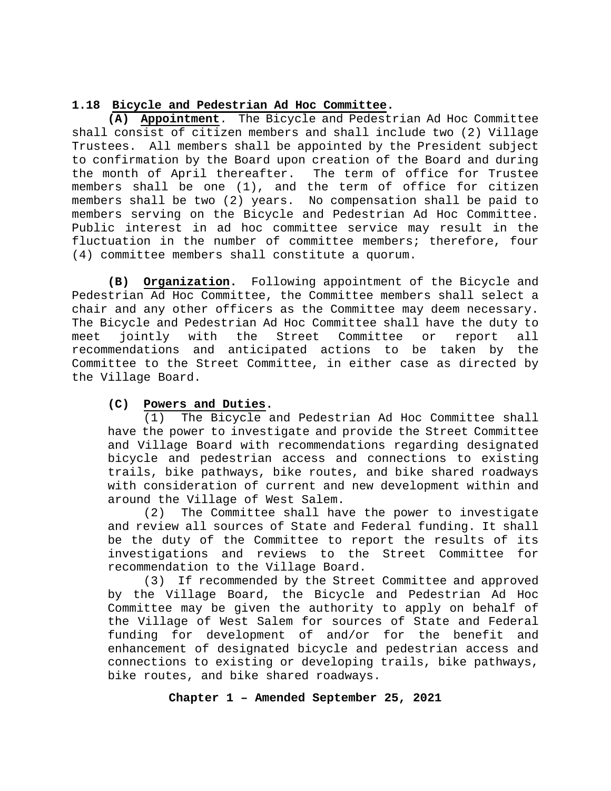#### <span id="page-15-0"></span>**1.18 Bicycle and Pedestrian Ad Hoc Committee.**

**(A) Appointment**. The Bicycle and Pedestrian Ad Hoc Committee shall consist of citizen members and shall include two (2) Village Trustees. All members shall be appointed by the President subject to confirmation by the Board upon creation of the Board and during the month of April thereafter. The term of office for Trustee members shall be one (1), and the term of office for citizen members shall be two (2) years. No compensation shall be paid to members serving on the Bicycle and Pedestrian Ad Hoc Committee. Public interest in ad hoc committee service may result in the fluctuation in the number of committee members; therefore, four (4) committee members shall constitute a quorum.

**(B) Organization.** Following appointment of the Bicycle and Pedestrian Ad Hoc Committee, the Committee members shall select a chair and any other officers as the Committee may deem necessary. The Bicycle and Pedestrian Ad Hoc Committee shall have the duty to<br>meet jointly with the Street Committee or report all meet jointly with the Street Committee or report all recommendations and anticipated actions to be taken by the Committee to the Street Committee, in either case as directed by the Village Board.

### **(C) Powers and Duties.**

(1) The Bicycle and Pedestrian Ad Hoc Committee shall have the power to investigate and provide the Street Committee and Village Board with recommendations regarding designated bicycle and pedestrian access and connections to existing trails, bike pathways, bike routes, and bike shared roadways with consideration of current and new development within and around the Village of West Salem.

(2) The Committee shall have the power to investigate and review all sources of State and Federal funding. It shall be the duty of the Committee to report the results of its investigations and reviews to the Street Committee for recommendation to the Village Board.

(3) If recommended by the Street Committee and approved by the Village Board, the Bicycle and Pedestrian Ad Hoc Committee may be given the authority to apply on behalf of the Village of West Salem for sources of State and Federal funding for development of and/or for the benefit and enhancement of designated bicycle and pedestrian access and connections to existing or developing trails, bike pathways, bike routes, and bike shared roadways.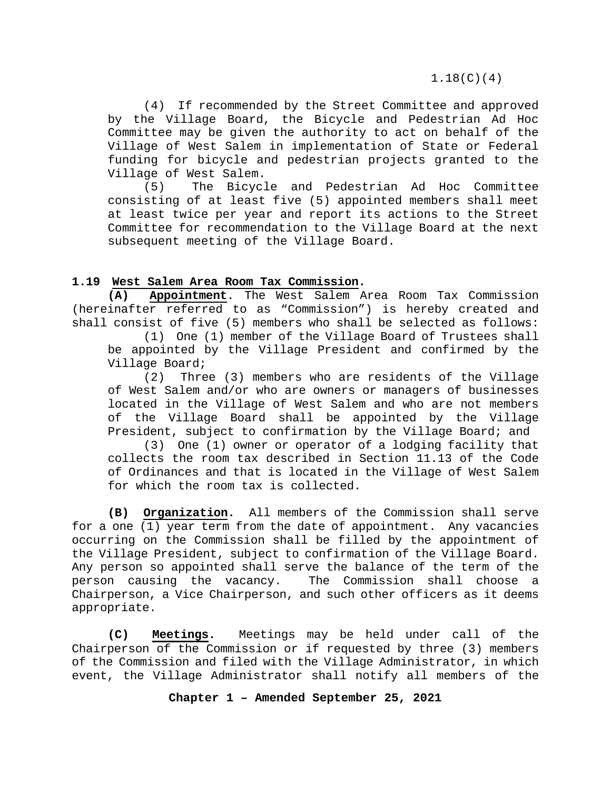1.18(C)(4)

(4) If recommended by the Street Committee and approved by the Village Board, the Bicycle and Pedestrian Ad Hoc Committee may be given the authority to act on behalf of the Village of West Salem in implementation of State or Federal funding for bicycle and pedestrian projects granted to the Village of West Salem.<br>(5) The Bicyc

(5) The Bicycle and Pedestrian Ad Hoc Committee consisting of at least five (5) appointed members shall meet at least twice per year and report its actions to the Street Committee for recommendation to the Village Board at the next subsequent meeting of the Village Board.

#### <span id="page-16-0"></span>**1.19 West Salem Area Room Tax Commission.**

**(A) Appointment**. The West Salem Area Room Tax Commission (hereinafter referred to as "Commission") is hereby created and shall consist of five (5) members who shall be selected as follows:

(1) One (1) member of the Village Board of Trustees shall be appointed by the Village President and confirmed by the Village Board;

(2) Three (3) members who are residents of the Village of West Salem and/or who are owners or managers of businesses located in the Village of West Salem and who are not members of the Village Board shall be appointed by the Village President, subject to confirmation by the Village Board; and

(3) One (1) owner or operator of a lodging facility that collects the room tax described in Section 11.13 of the Code of Ordinances and that is located in the Village of West Salem for which the room tax is collected.

**(B) Organization.** All members of the Commission shall serve for a one (1) year term from the date of appointment. Any vacancies occurring on the Commission shall be filled by the appointment of the Village President, subject to confirmation of the Village Board. Any person so appointed shall serve the balance of the term of the person causing the vacancy. The Commission shall choose a Chairperson, a Vice Chairperson, and such other officers as it deems appropriate.

**(C) Meetings.** Meetings may be held under call of the Chairperson of the Commission or if requested by three (3) members of the Commission and filed with the Village Administrator, in which event, the Village Administrator shall notify all members of the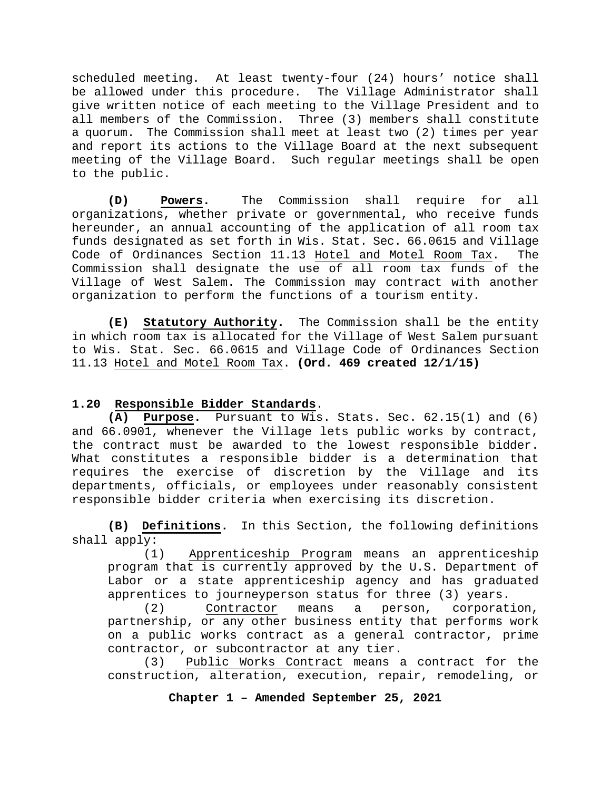scheduled meeting. At least twenty-four (24) hours' notice shall be allowed under this procedure. The Village Administrator shall give written notice of each meeting to the Village President and to all members of the Commission. Three (3) members shall constitute a quorum. The Commission shall meet at least two (2) times per year and report its actions to the Village Board at the next subsequent meeting of the Village Board. Such regular meetings shall be open to the public.

**(D) Powers.** The Commission shall require for all organizations, whether private or governmental, who receive funds hereunder, an annual accounting of the application of all room tax funds designated as set forth in Wis. Stat. Sec. 66.0615 and Village Code of Ordinances Section 11.13 Hotel and Motel Room Tax. The Commission shall designate the use of all room tax funds of the Village of West Salem. The Commission may contract with another organization to perform the functions of a tourism entity.

**(E) Statutory Authority.** The Commission shall be the entity in which room tax is allocated for the Village of West Salem pursuant to Wis. Stat. Sec. 66.0615 and Village Code of Ordinances Section 11.13 Hotel and Motel Room Tax. **(Ord. 469 created 12/1/15)**

#### <span id="page-17-0"></span>**1.20 Responsible Bidder Standards**.

**(A) Purpose.** Pursuant to Wis. Stats. Sec. 62.15(1) and (6) and 66.0901, whenever the Village lets public works by contract, the contract must be awarded to the lowest responsible bidder. What constitutes a responsible bidder is a determination that requires the exercise of discretion by the Village and its departments, officials, or employees under reasonably consistent responsible bidder criteria when exercising its discretion.

**(B) Definitions.** In this Section, the following definitions shall apply:<br>(1)

Apprenticeship Program means an apprenticeship program that is currently approved by the U.S. Department of Labor or a state apprenticeship agency and has graduated apprentices to journeyperson status for three (3) years.

(2) Contractor means a person, corporation, partnership, or any other business entity that performs work on a public works contract as a general contractor, prime contractor, or subcontractor at any tier.

(3) Public Works Contract means a contract for the construction, alteration, execution, repair, remodeling, or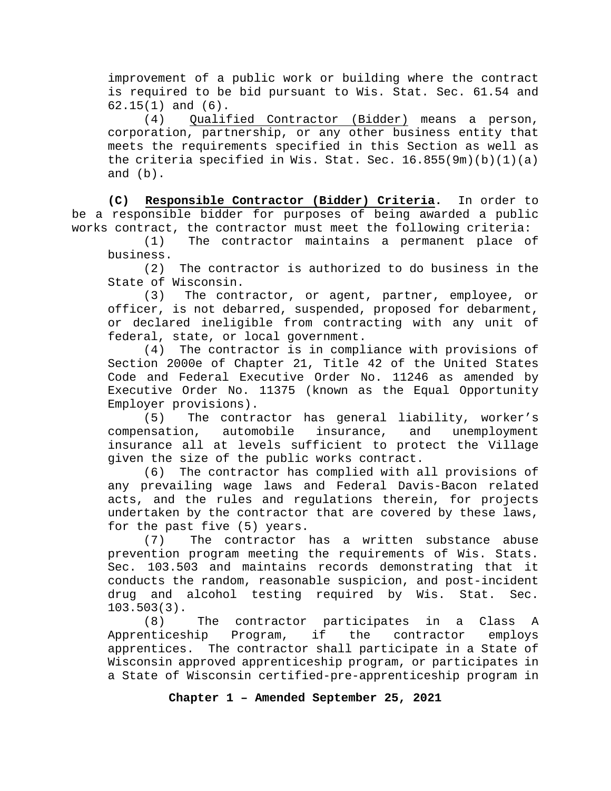improvement of a public work or building where the contract is required to be bid pursuant to Wis. Stat. Sec. 61.54 and 62.15(1) and (6).

(4) Qualified Contractor (Bidder) means a person, corporation, partnership, or any other business entity that meets the requirements specified in this Section as well as the criteria specified in Wis. Stat. Sec.  $16.855(9m)(b)(1)(a)$ and (b).

**(C) Responsible Contractor (Bidder) Criteria.** In order to be a responsible bidder for purposes of being awarded a public works contract, the contractor must meet the following criteria:<br>(1) The contractor maintains a permanent place on

The contractor maintains a permanent place of business.

(2) The contractor is authorized to do business in the State of Wisconsin.

(3) The contractor, or agent, partner, employee, or officer, is not debarred, suspended, proposed for debarment, or declared ineligible from contracting with any unit of federal, state, or local government.

(4) The contractor is in compliance with provisions of Section 2000e of Chapter 21, Title 42 of the United States Code and Federal Executive Order No. 11246 as amended by Executive Order No. 11375 (known as the Equal Opportunity

Employer provisions).<br>(5) The contra The contractor has general liability, worker's<br>on, automobile insurance, and unemployment compensation, automobile insurance, and unemployment insurance all at levels sufficient to protect the Village given the size of the public works contract.

(6) The contractor has complied with all provisions of any prevailing wage laws and Federal Davis-Bacon related acts, and the rules and regulations therein, for projects undertaken by the contractor that are covered by these laws, for the past five (5) years.

(7) The contractor has a written substance abuse prevention program meeting the requirements of Wis. Stats. Sec. 103.503 and maintains records demonstrating that it conducts the random, reasonable suspicion, and post-incident drug and alcohol testing required by Wis. Stat. Sec.  $103.503(3)$ .<br>(8)

The contractor participates in a Class A<br>ip Program, if the contractor emplovs Apprenticeship Program, if the contractor employs apprentices. The contractor shall participate in a State of Wisconsin approved apprenticeship program, or participates in a State of Wisconsin certified-pre-apprenticeship program in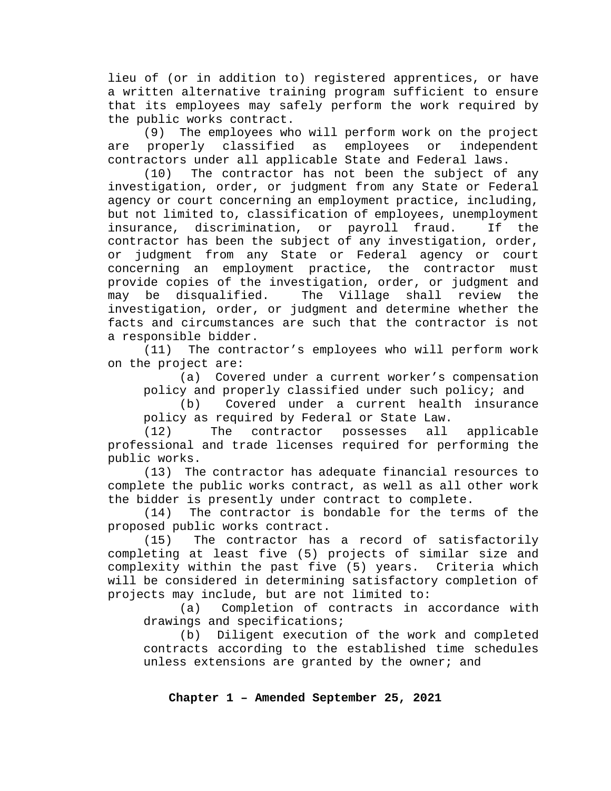lieu of (or in addition to) registered apprentices, or have a written alternative training program sufficient to ensure that its employees may safely perform the work required by

the public works contract.<br>(9) The employees when The employees who will perform work on the project<br>Verly classified as employees or independent are properly classified as employees or contractors under all applicable State and Federal laws.

(10) The contractor has not been the subject of any investigation, order, or judgment from any State or Federal agency or court concerning an employment practice, including, but not limited to, classification of employees, unemployment<br>insurance, discrimination, or payroll fraud. If the insurance, discrimination, or payroll fraud. contractor has been the subject of any investigation, order, or judgment from any State or Federal agency or court concerning an employment practice, the contractor must provide copies of the investigation, order, or judgment and<br>may be disqualified. The Village shall review the may be disqualified. The Village shall review the investigation, order, or judgment and determine whether the facts and circumstances are such that the contractor is not a responsible bidder.

(11) The contractor's employees who will perform work on the project are:

(a) Covered under a current worker's compensation policy and properly classified under such policy; and

(b) Covered under a current health insurance policy as required by Federal or State Law.<br>(12) The contractor possesses all

contractor possesses all applicable professional and trade licenses required for performing the public works.

(13) The contractor has adequate financial resources to complete the public works contract, as well as all other work the bidder is presently under contract to complete.

(14) The contractor is bondable for the terms of the proposed public works contract.<br>(15) The contractor has

The contractor has a record of satisfactorily completing at least five (5) projects of similar size and complexity within the past five (5) years. Criteria which will be considered in determining satisfactory completion of projects may include, but are not limited to:

(a) Completion of contracts in accordance with drawings and specifications;

(b) Diligent execution of the work and completed contracts according to the established time schedules unless extensions are granted by the owner; and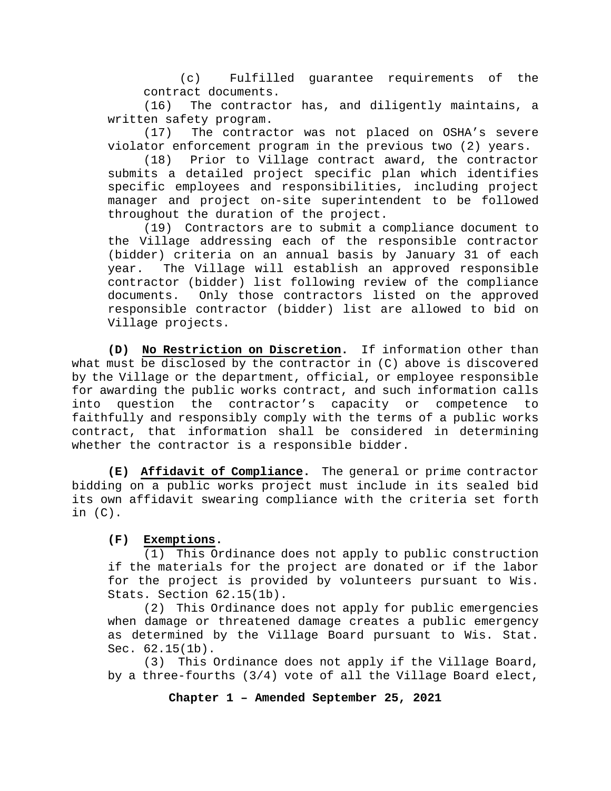(c) Fulfilled guarantee requirements of the contract documents.

(16) The contractor has, and diligently maintains, a written safety program.<br>(17) The contrac

The contractor was not placed on OSHA's severe violator enforcement program in the previous two (2) years.

(18) Prior to Village contract award, the contractor submits a detailed project specific plan which identifies specific employees and responsibilities, including project manager and project on-site superintendent to be followed throughout the duration of the project.

(19) Contractors are to submit a compliance document to the Village addressing each of the responsible contractor (bidder) criteria on an annual basis by January 31 of each year. The Village will establish an approved responsible contractor (bidder) list following review of the compliance documents. Only those contractors listed on the approved responsible contractor (bidder) list are allowed to bid on Village projects.

**(D) No Restriction on Discretion.** If information other than what must be disclosed by the contractor in (C) above is discovered by the Village or the department, official, or employee responsible for awarding the public works contract, and such information calls into question the contractor's capacity or competence to faithfully and responsibly comply with the terms of a public works contract, that information shall be considered in determining whether the contractor is a responsible bidder.

**(E) Affidavit of Compliance.** The general or prime contractor bidding on a public works project must include in its sealed bid its own affidavit swearing compliance with the criteria set forth in (C).

### **(F) Exemptions.**

(1) This Ordinance does not apply to public construction if the materials for the project are donated or if the labor for the project is provided by volunteers pursuant to Wis. Stats. Section 62.15(1b).

(2) This Ordinance does not apply for public emergencies when damage or threatened damage creates a public emergency as determined by the Village Board pursuant to Wis. Stat. Sec. 62.15(1b).

(3) This Ordinance does not apply if the Village Board, by a three-fourths (3/4) vote of all the Village Board elect,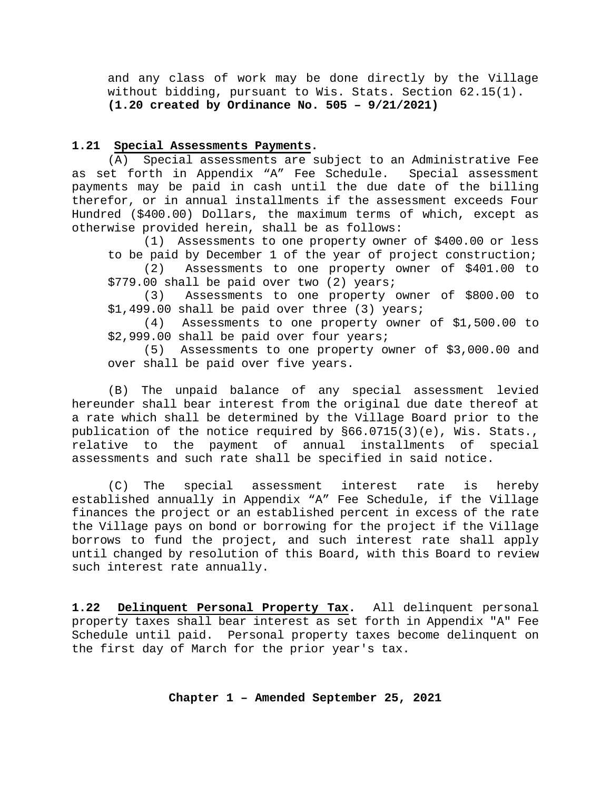and any class of work may be done directly by the Village without bidding, pursuant to Wis. Stats. Section 62.15(1). **(1.20 created by Ordinance No. 505 – 9/21/2021)**

#### <span id="page-21-0"></span>**1.21 Special Assessments Payments.**

(A) Special assessments are subject to an Administrative Fee as set forth in Appendix "A" Fee Schedule. Special assessment payments may be paid in cash until the due date of the billing therefor, or in annual installments if the assessment exceeds Four Hundred (\$400.00) Dollars, the maximum terms of which, except as otherwise provided herein, shall be as follows:

(1) Assessments to one property owner of \$400.00 or less to be paid by December 1 of the year of project construction;

(2) Assessments to one property owner of \$401.00 to \$779.00 shall be paid over two (2) years;

(3) Assessments to one property owner of \$800.00 to \$1,499.00 shall be paid over three (3) years;

(4) Assessments to one property owner of \$1,500.00 to \$2,999.00 shall be paid over four years;

(5) Assessments to one property owner of \$3,000.00 and over shall be paid over five years.

(B) The unpaid balance of any special assessment levied hereunder shall bear interest from the original due date thereof at a rate which shall be determined by the Village Board prior to the publication of the notice required by §66.0715(3)(e), Wis. Stats., relative to the payment of annual installments of special assessments and such rate shall be specified in said notice.

(C) The special assessment interest rate is hereby established annually in Appendix "A" Fee Schedule, if the Village finances the project or an established percent in excess of the rate the Village pays on bond or borrowing for the project if the Village borrows to fund the project, and such interest rate shall apply until changed by resolution of this Board, with this Board to review such interest rate annually.

<span id="page-21-1"></span>**1.22 Delinquent Personal Property Tax.** All delinquent personal property taxes shall bear interest as set forth in Appendix "A" Fee Schedule until paid. Personal property taxes become delinquent on the first day of March for the prior year's tax.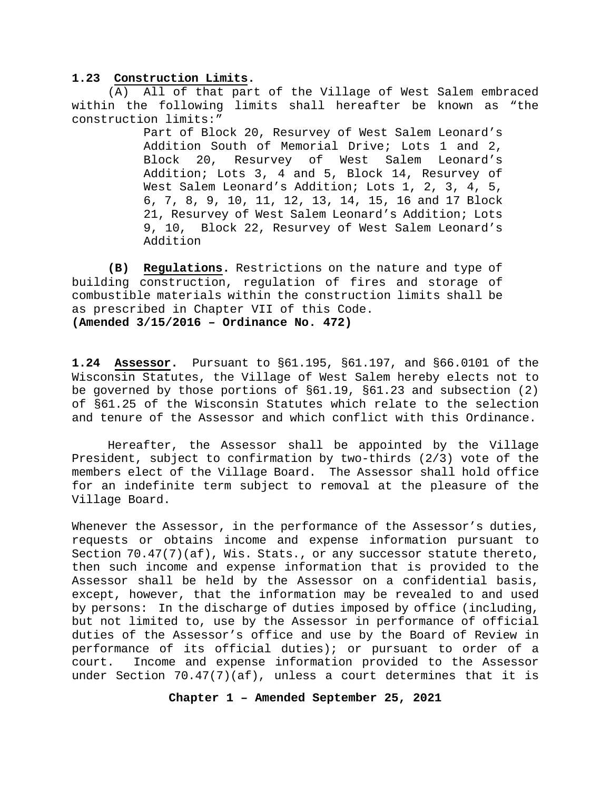#### <span id="page-22-0"></span>**1.23 Construction Limits.**

(A) All of that part of the Village of West Salem embraced within the following limits shall hereafter be known as "the construction limits:"

> Part of Block 20, Resurvey of West Salem Leonard's Addition South of Memorial Drive; Lots 1 and 2, Block 20, Resurvey of West Salem Leonard's Addition; Lots 3, 4 and 5, Block 14, Resurvey of West Salem Leonard's Addition; Lots 1, 2, 3, 4, 5, 6, 7, 8, 9, 10, 11, 12, 13, 14, 15, 16 and 17 Block 21, Resurvey of West Salem Leonard's Addition; Lots 9, 10, Block 22, Resurvey of West Salem Leonard's Addition

**(B) Regulations.** Restrictions on the nature and type of building construction, regulation of fires and storage of combustible materials within the construction limits shall be as prescribed in Chapter VII of this Code. **(Amended 3/15/2016 – Ordinance No. 472)**

<span id="page-22-1"></span>**1.24 Assessor.** Pursuant to §61.195, §61.197, and §66.0101 of the Wisconsin Statutes, the Village of West Salem hereby elects not to be governed by those portions of §61.19, §61.23 and subsection (2) of §61.25 of the Wisconsin Statutes which relate to the selection and tenure of the Assessor and which conflict with this Ordinance.

Hereafter, the Assessor shall be appointed by the Village President, subject to confirmation by two-thirds (2/3) vote of the members elect of the Village Board. The Assessor shall hold office for an indefinite term subject to removal at the pleasure of the Village Board.

Whenever the Assessor, in the performance of the Assessor's duties, requests or obtains income and expense information pursuant to Section 70.47(7)(af), Wis. Stats., or any successor statute thereto, then such income and expense information that is provided to the Assessor shall be held by the Assessor on a confidential basis, except, however, that the information may be revealed to and used by persons: In the discharge of duties imposed by office (including, but not limited to, use by the Assessor in performance of official duties of the Assessor's office and use by the Board of Review in performance of its official duties); or pursuant to order of a court. Income and expense information provided to the Assessor under Section 70.47(7)(af), unless a court determines that it is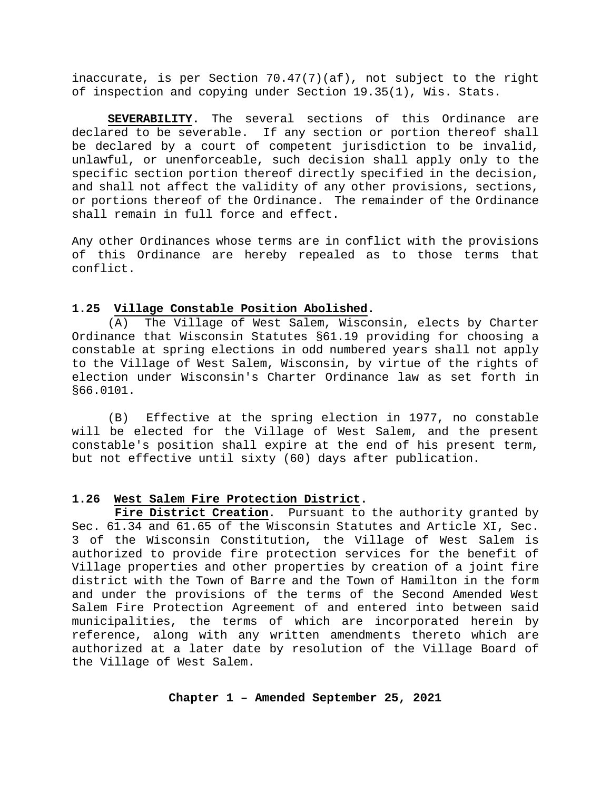inaccurate, is per Section 70.47(7)(af), not subject to the right of inspection and copying under Section 19.35(1), Wis. Stats.

**SEVERABILITY.** The several sections of this Ordinance are declared to be severable. If any section or portion thereof shall be declared by a court of competent jurisdiction to be invalid, unlawful, or unenforceable, such decision shall apply only to the specific section portion thereof directly specified in the decision, and shall not affect the validity of any other provisions, sections, or portions thereof of the Ordinance. The remainder of the Ordinance shall remain in full force and effect.

Any other Ordinances whose terms are in conflict with the provisions of this Ordinance are hereby repealed as to those terms that conflict.

#### <span id="page-23-0"></span>**1.25 Village Constable Position Abolished.**

(A) The Village of West Salem, Wisconsin, elects by Charter Ordinance that Wisconsin Statutes §61.19 providing for choosing a constable at spring elections in odd numbered years shall not apply to the Village of West Salem, Wisconsin, by virtue of the rights of election under Wisconsin's Charter Ordinance law as set forth in §66.0101.

(B) Effective at the spring election in 1977, no constable will be elected for the Village of West Salem, and the present constable's position shall expire at the end of his present term, but not effective until sixty (60) days after publication.

#### <span id="page-23-1"></span>**1.26 West Salem Fire Protection District.**

 **Fire District Creation**. Pursuant to the authority granted by Sec. 61.34 and 61.65 of the Wisconsin Statutes and Article XI, Sec. 3 of the Wisconsin Constitution, the Village of West Salem is authorized to provide fire protection services for the benefit of Village properties and other properties by creation of a joint fire district with the Town of Barre and the Town of Hamilton in the form and under the provisions of the terms of the Second Amended West Salem Fire Protection Agreement of and entered into between said municipalities, the terms of which are incorporated herein by reference, along with any written amendments thereto which are authorized at a later date by resolution of the Village Board of the Village of West Salem.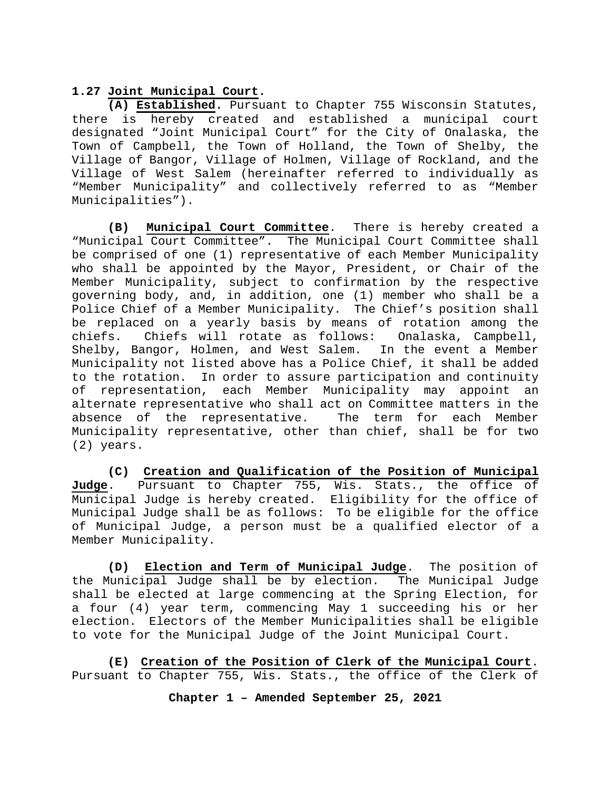#### <span id="page-24-0"></span>**1.27 Joint Municipal Court.**

**(A) Established.** Pursuant to Chapter 755 Wisconsin Statutes, there is hereby created and established a municipal court designated "Joint Municipal Court" for the City of Onalaska, the Town of Campbell, the Town of Holland, the Town of Shelby, the Village of Bangor, Village of Holmen, Village of Rockland, and the Village of West Salem (hereinafter referred to individually as "Member Municipality" and collectively referred to as "Member Municipalities").

**(B) Municipal Court Committee**. There is hereby created a "Municipal Court Committee". The Municipal Court Committee shall be comprised of one (1) representative of each Member Municipality who shall be appointed by the Mayor, President, or Chair of the Member Municipality, subject to confirmation by the respective governing body, and, in addition, one (1) member who shall be a Police Chief of a Member Municipality. The Chief's position shall be replaced on a yearly basis by means of rotation among the<br>chiefs. Chiefs will rotate as follows: Onalaska, Campbell, Chiefs will rotate as follows: Onalaska, Campbell,<br>angor, Holmen, and West Salem. In the event a Member Shelby, Bangor, Holmen, and West Salem. Municipality not listed above has a Police Chief, it shall be added to the rotation. In order to assure participation and continuity of representation, each Member Municipality may appoint an alternate representative who shall act on Committee matters in the absence of the representative. The term for each Member absence of the representative. Municipality representative, other than chief, shall be for two (2) years.

**(C) Creation and Qualification of the Position of Municipal**  Pursuant to Chapter 755, Wis. Stats., the office of Municipal Judge is hereby created. Eligibility for the office of Municipal Judge shall be as follows: To be eligible for the office of Municipal Judge, a person must be a qualified elector of a Member Municipality.

**(D) Election and Term of Municipal Judge**. The position of the Municipal Judge shall be by election. shall be elected at large commencing at the Spring Election, for a four (4) year term, commencing May 1 succeeding his or her election. Electors of the Member Municipalities shall be eligible to vote for the Municipal Judge of the Joint Municipal Court.

**(E) Creation of the Position of Clerk of the Municipal Court**. Pursuant to Chapter 755, Wis. Stats., the office of the Clerk of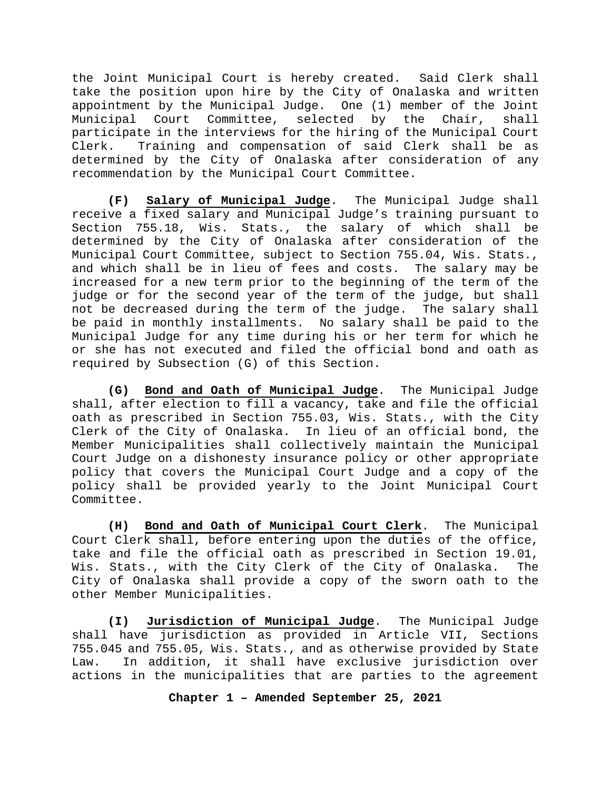the Joint Municipal Court is hereby created. Said Clerk shall take the position upon hire by the City of Onalaska and written appointment by the Municipal Judge. One (1) member of the Joint Municipal Court Committee, selected by the Chair, shall participate in the interviews for the hiring of the Municipal Court Clerk. Training and compensation of said Clerk shall be as determined by the City of Onalaska after consideration of any recommendation by the Municipal Court Committee.

**(F) Salary of Municipal Judge**. The Municipal Judge shall receive a fixed salary and Municipal Judge's training pursuant to Section 755.18, Wis. Stats., the salary of which shall be determined by the City of Onalaska after consideration of the Municipal Court Committee, subject to Section 755.04, Wis. Stats., and which shall be in lieu of fees and costs. The salary may be increased for a new term prior to the beginning of the term of the judge or for the second year of the term of the judge, but shall not be decreased during the term of the judge. The salary shall be paid in monthly installments. No salary shall be paid to the Municipal Judge for any time during his or her term for which he or she has not executed and filed the official bond and oath as required by Subsection (G) of this Section.

**(G) Bond and Oath of Municipal Judge**. The Municipal Judge shall, after election to fill a vacancy, take and file the official oath as prescribed in Section 755.03, Wis. Stats., with the City Clerk of the City of Onalaska. In lieu of an official bond, the Member Municipalities shall collectively maintain the Municipal Court Judge on a dishonesty insurance policy or other appropriate policy that covers the Municipal Court Judge and a copy of the policy shall be provided yearly to the Joint Municipal Court Committee.

**(H) Bond and Oath of Municipal Court Clerk**. The Municipal Court Clerk shall, before entering upon the duties of the office, take and file the official oath as prescribed in Section 19.01, Wis. Stats., with the City Clerk of the City of Onalaska. The City of Onalaska shall provide a copy of the sworn oath to the other Member Municipalities.

**(I) Jurisdiction of Municipal Judge**. The Municipal Judge shall have jurisdiction as provided in Article VII, Sections 755.045 and 755.05, Wis. Stats., and as otherwise provided by State Law. In addition, it shall have exclusive jurisdiction over actions in the municipalities that are parties to the agreement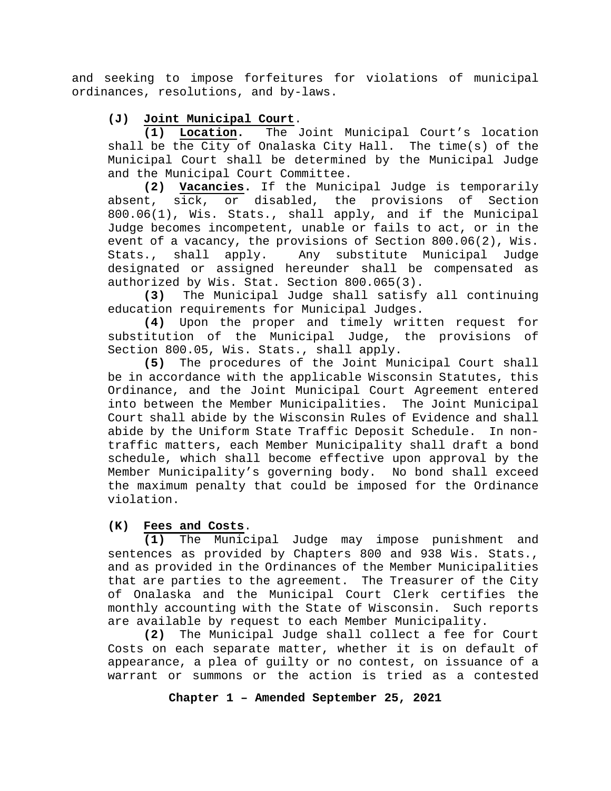and seeking to impose forfeitures for violations of municipal ordinances, resolutions, and by-laws.

# **(J) Joint Municipal Court**.

**(1) Location.** The Joint Municipal Court's location shall be the City of Onalaska City Hall. The time(s) of the Municipal Court shall be determined by the Municipal Judge and the Municipal Court Committee.

**(2) Vacancies.** If the Municipal Judge is temporarily absent, sick, or disabled, the provisions of 800.06(1), Wis. Stats., shall apply, and if the Municipal Judge becomes incompetent, unable or fails to act, or in the event of a vacancy, the provisions of Section 800.06(2), Wis.<br>Stats., shall apply. Any substitute Municipal Judge Stats., shall apply. Any substitute Municipal Judge designated or assigned hereunder shall be compensated as authorized by Wis. Stat. Section 800.065(3).<br>(3) The Municipal Judge shall satisfy

**(3)** The Municipal Judge shall satisfy all continuing education requirements for Municipal Judges.

**(4)** Upon the proper and timely written request for substitution of the Municipal Judge, the provisions of Section 800.05, Wis. Stats., shall apply.

**(5)** The procedures of the Joint Municipal Court shall be in accordance with the applicable Wisconsin Statutes, this Ordinance, and the Joint Municipal Court Agreement entered into between the Member Municipalities. The Joint Municipal Court shall abide by the Wisconsin Rules of Evidence and shall abide by the Uniform State Traffic Deposit Schedule. In nontraffic matters, each Member Municipality shall draft a bond schedule, which shall become effective upon approval by the Member Municipality's governing body. No bond shall exceed the maximum penalty that could be imposed for the Ordinance violation.

### **(K) Fees and Costs**.

**(1)** The Municipal Judge may impose punishment and sentences as provided by Chapters 800 and 938 Wis. Stats., and as provided in the Ordinances of the Member Municipalities that are parties to the agreement. The Treasurer of the City of Onalaska and the Municipal Court Clerk certifies the monthly accounting with the State of Wisconsin. Such reports are available by request to each Member Municipality.

**(2)** The Municipal Judge shall collect a fee for Court Costs on each separate matter, whether it is on default of appearance, a plea of guilty or no contest, on issuance of a warrant or summons or the action is tried as a contested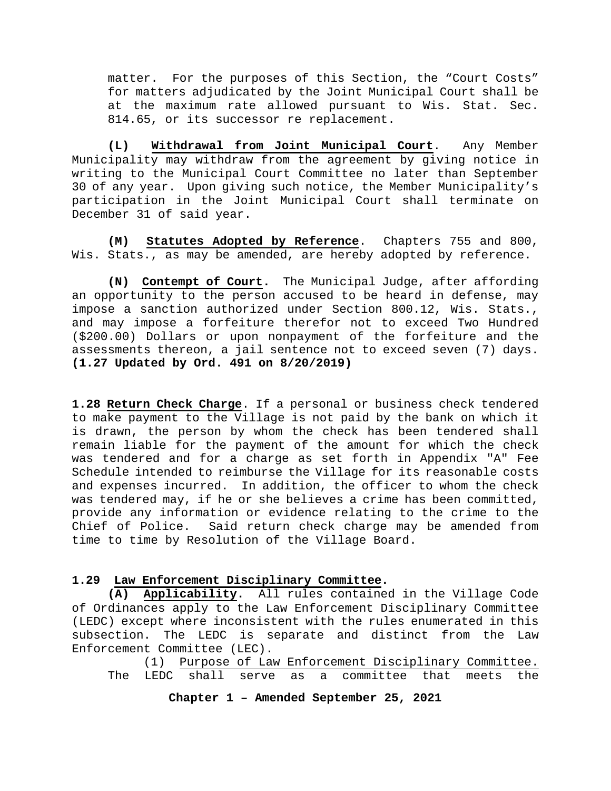matter. For the purposes of this Section, the "Court Costs" for matters adjudicated by the Joint Municipal Court shall be at the maximum rate allowed pursuant to Wis. Stat. Sec. 814.65, or its successor re replacement.

**(L) Withdrawal from Joint Municipal Court**. Any Member Municipality may withdraw from the agreement by giving notice in writing to the Municipal Court Committee no later than September 30 of any year. Upon giving such notice, the Member Municipality's participation in the Joint Municipal Court shall terminate on December 31 of said year.

**(M) Statutes Adopted by Reference**. Chapters 755 and 800, Wis. Stats., as may be amended, are hereby adopted by reference.

**(N) Contempt of Court.** The Municipal Judge, after affording an opportunity to the person accused to be heard in defense, may impose a sanction authorized under Section 800.12, Wis. Stats., and may impose a forfeiture therefor not to exceed Two Hundred (\$200.00) Dollars or upon nonpayment of the forfeiture and the assessments thereon, a jail sentence not to exceed seven (7) days. **(1.27 Updated by Ord. 491 on 8/20/2019)**

<span id="page-27-0"></span>**1.28 Return Check Charge**. If a personal or business check tendered to make payment to the Village is not paid by the bank on which it is drawn, the person by whom the check has been tendered shall remain liable for the payment of the amount for which the check was tendered and for a charge as set forth in Appendix "A" Fee Schedule intended to reimburse the Village for its reasonable costs and expenses incurred. In addition, the officer to whom the check was tendered may, if he or she believes a crime has been committed, provide any information or evidence relating to the crime to the Chief of Police. Said return check charge may be amended from time to time by Resolution of the Village Board.

#### <span id="page-27-1"></span>**1.29 Law Enforcement Disciplinary Committee.**

**(A) Applicability.** All rules contained in the Village Code of Ordinances apply to the Law Enforcement Disciplinary Committee (LEDC) except where inconsistent with the rules enumerated in this subsection. The LEDC is separate and distinct from the Law Enforcement Committee (LEC).

(1) Purpose of Law Enforcement Disciplinary Committee.<br>LEDC shall serve as a committee that meets the The LEDC shall serve as a committee that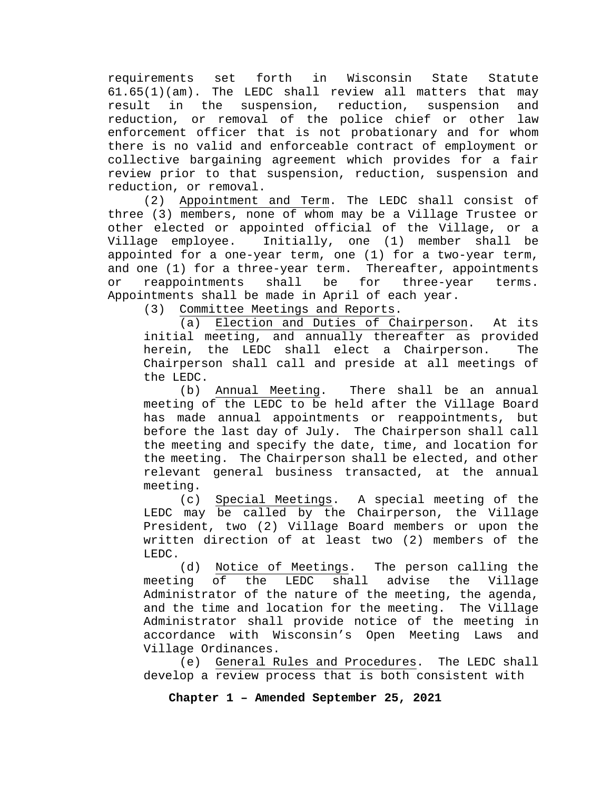requirements set forth in Wisconsin State Statute 61.65(1)(am). The LEDC shall review all matters that may<br>result in the suspension, reduction, suspension and result in the suspension, reduction, suspension and reduction, or removal of the police chief or other enforcement officer that is not probationary and for whom there is no valid and enforceable contract of employment or collective bargaining agreement which provides for a fair review prior to that suspension, reduction, suspension and reduction, or removal.

(2) Appointment and Term. The LEDC shall consist of three (3) members, none of whom may be a Village Trustee or other elected or appointed official of the Village, or a Village employee. Initially, one (1) member shall be appointed for a one-year term, one (1) for a two-year term, and one (1) for a three-year term. Thereafter, appointments or reappointments shall be for three-year terms. Appointments shall be made in April of each year.<br>(3) Committee Meetings and Reports.

Committee Meetings and Reports.<br>(a) Election and Duties of Ch

Election and Duties of Chairperson. At its initial meeting, and annually thereafter as provided herein, the LEDC shall elect a Chairperson. The Chairperson shall call and preside at all meetings of the LEDC.

(b) Annual Meeting. There shall be an annual meeting of the LEDC to be held after the Village Board has made annual appointments or reappointments, but before the last day of July. The Chairperson shall call the meeting and specify the date, time, and location for the meeting. The Chairperson shall be elected, and other relevant general business transacted, at the annual meeting.

(c) Special Meetings. A special meeting of the LEDC may be called by the Chairperson, the Village President, two (2) Village Board members or upon the written direction of at least two (2) members of the LEDC.

(d) <u>Notice of Meetings</u>. The person calling the<br>ng of the LEDC shall advise the Village meeting of the LEDC shall advise the Village Administrator of the nature of the meeting, the agenda, and the time and location for the meeting. The Village Administrator shall provide notice of the meeting in accordance with Wisconsin's Open Meeting Laws and Village Ordinances.

(e) General Rules and Procedures. The LEDC shall develop a review process that is both consistent with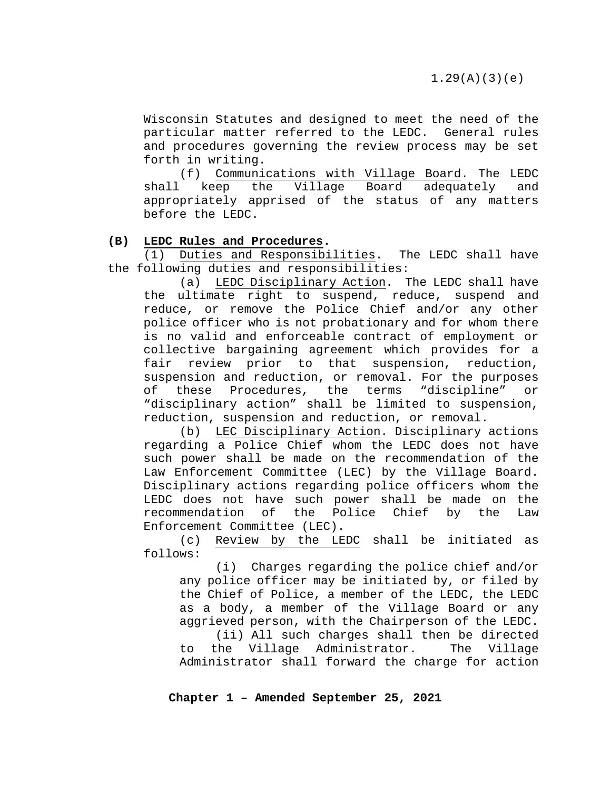Wisconsin Statutes and designed to meet the need of the particular matter referred to the LEDC. General rules and procedures governing the review process may be set forth in writing.<br>(f) Communi

Communications with Village Board. The LEDC shall keep the Village Board adequately and appropriately apprised of the status of any matters before the LEDC.

#### **(B) LEDC Rules and Procedures.**

(1) Duties and Responsibilities. The LEDC shall have the following duties and responsibilities:

(a) LEDC Disciplinary Action. The LEDC shall have the ultimate right to suspend, reduce, suspend and reduce, or remove the Police Chief and/or any other police officer who is not probationary and for whom there is no valid and enforceable contract of employment or collective bargaining agreement which provides for a fair review prior to that suspension, reduction, suspension and reduction, or removal. For the purposes of these Procedures, the terms "discipline" or "disciplinary action" shall be limited to suspension, reduction, suspension and reduction, or removal.

(b) LEC Disciplinary Action. Disciplinary actions regarding a Police Chief whom the LEDC does not have such power shall be made on the recommendation of the Law Enforcement Committee (LEC) by the Village Board. Disciplinary actions regarding police officers whom the LEDC does not have such power shall be made on the recommendation of the Police Chief by the Law recommendation of Enforcement Committee (LEC).

(c) Review by the LEDC shall be initiated as follows:

(i) Charges regarding the police chief and/or any police officer may be initiated by, or filed by the Chief of Police, a member of the LEDC, the LEDC as a body, a member of the Village Board or any aggrieved person, with the Chairperson of the LEDC.

(ii) All such charges shall then be directed<br>the Village Administrator. The Village to the Village Administrator. Administrator shall forward the charge for action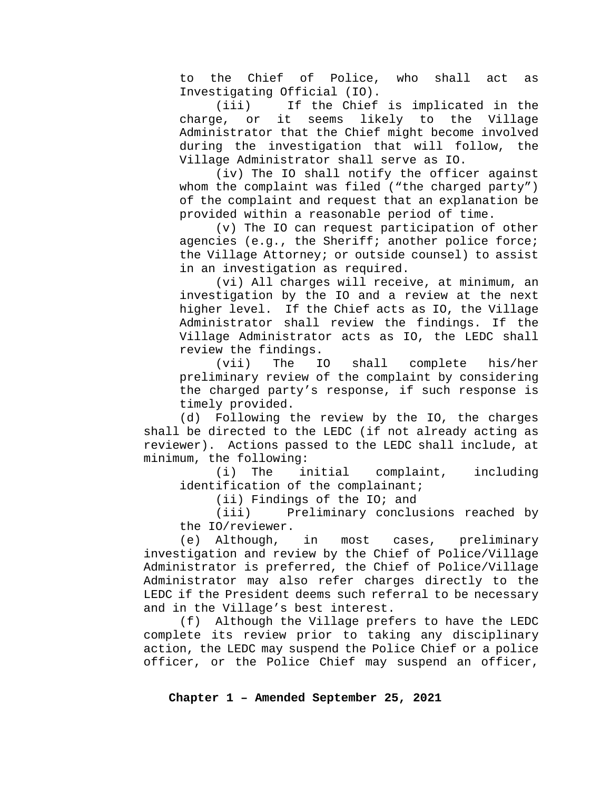to the Chief of Police, who shall act as Investigating Official (IO).

If the Chief is implicated in the charge, or it seems likely to the Village Administrator that the Chief might become involved during the investigation that will follow, the Village Administrator shall serve as IO.

(iv) The IO shall notify the officer against whom the complaint was filed ("the charged party") of the complaint and request that an explanation be provided within a reasonable period of time.

(v) The IO can request participation of other agencies (e.g., the Sheriff; another police force; the Village Attorney; or outside counsel) to assist in an investigation as required.

(vi) All charges will receive, at minimum, an investigation by the IO and a review at the next higher level. If the Chief acts as IO, the Village Administrator shall review the findings. If the Village Administrator acts as IO, the LEDC shall review the findings.<br>(vii) The IO

shall complete his/her preliminary review of the complaint by considering the charged party's response, if such response is timely provided.

(d) Following the review by the IO, the charges shall be directed to the LEDC (if not already acting as reviewer). Actions passed to the LEDC shall include, at minimum, the following:<br>(i) The initial

complaint, including identification of the complainant;

(ii) Findings of the IO; and<br>(iii) Preliminary conclu

Preliminary conclusions reached by the IO/reviewer.

(e) Although, in most cases, preliminary investigation and review by the Chief of Police/Village Administrator is preferred, the Chief of Police/Village Administrator may also refer charges directly to the LEDC if the President deems such referral to be necessary and in the Village's best interest.

(f) Although the Village prefers to have the LEDC complete its review prior to taking any disciplinary action, the LEDC may suspend the Police Chief or a police officer, or the Police Chief may suspend an officer,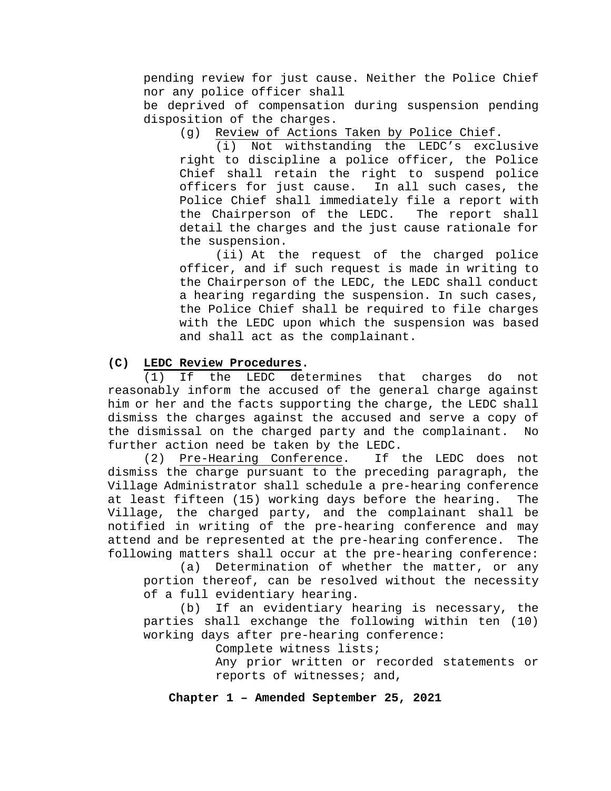pending review for just cause. Neither the Police Chief nor any police officer shall

be deprived of compensation during suspension pending disposition of the charges.<br>(q) Review of Actions

Review of Actions Taken by Police Chief.

(i) Not withstanding the LEDC's exclusive right to discipline a police officer, the Police Chief shall retain the right to suspend police officers for just cause. In all such cases, the Police Chief shall immediately file a report with<br>the Chairperson of the LEDC. The report shall the Chairperson of the LEDC. detail the charges and the just cause rationale for the suspension.

(ii) At the request of the charged police officer, and if such request is made in writing to the Chairperson of the LEDC, the LEDC shall conduct a hearing regarding the suspension. In such cases, the Police Chief shall be required to file charges with the LEDC upon which the suspension was based and shall act as the complainant.

#### **(C) LEDC Review Procedures.**

(1) If the LEDC determines that charges do not reasonably inform the accused of the general charge against him or her and the facts supporting the charge, the LEDC shall dismiss the charges against the accused and serve a copy of the dismissal on the charged party and the complainant. No further action need be taken by the LEDC.<br>(2) Pre-Hearing Conference. If the LEDC does not

 $(2)$  Pre-Hearing Conference. dismiss the charge pursuant to the preceding paragraph, the Village Administrator shall schedule a pre-hearing conference at least fifteen (15) working days before the hearing. The Village, the charged party, and the complainant shall be notified in writing of the pre-hearing conference and may attend and be represented at the pre-hearing conference. The following matters shall occur at the pre-hearing conference:

(a) Determination of whether the matter, or any portion thereof, can be resolved without the necessity of a full evidentiary hearing.

(b) If an evidentiary hearing is necessary, the parties shall exchange the following within ten (10) working days after pre-hearing conference:

Complete witness lists;

Any prior written or recorded statements or reports of witnesses; and,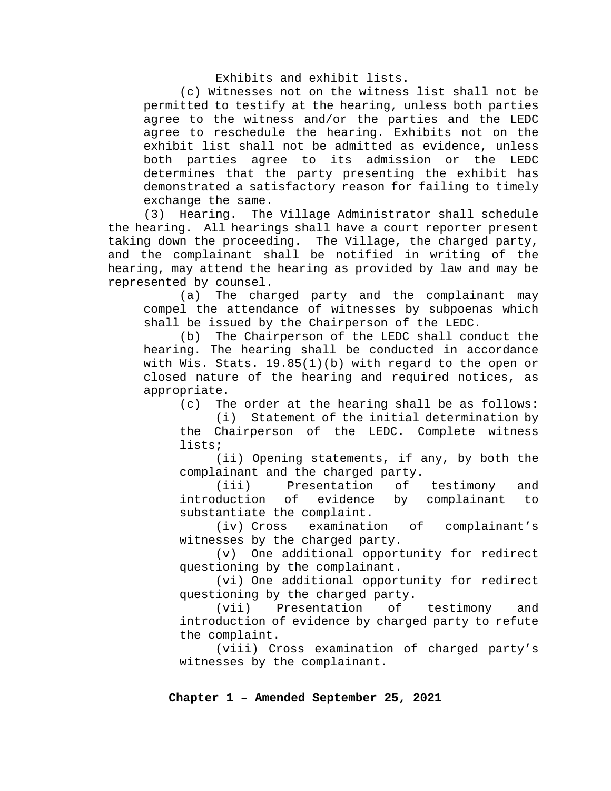Exhibits and exhibit lists.

(c) Witnesses not on the witness list shall not be permitted to testify at the hearing, unless both parties agree to the witness and/or the parties and the LEDC agree to reschedule the hearing. Exhibits not on the exhibit list shall not be admitted as evidence, unless both parties agree to its admission or the LEDC determines that the party presenting the exhibit has demonstrated a satisfactory reason for failing to timely exchange the same.<br>(3) Hearing. The

Hearing. The Village Administrator shall schedule the hearing. All hearings shall have a court reporter present taking down the proceeding. The Village, the charged party, and the complainant shall be notified in writing of the hearing, may attend the hearing as provided by law and may be represented by counsel.

(a) The charged party and the complainant may compel the attendance of witnesses by subpoenas which shall be issued by the Chairperson of the LEDC.

(b) The Chairperson of the LEDC shall conduct the hearing. The hearing shall be conducted in accordance with Wis. Stats. 19.85(1)(b) with regard to the open or closed nature of the hearing and required notices, as appropriate.

(c) The order at the hearing shall be as follows:

(i) Statement of the initial determination by the Chairperson of the LEDC. Complete witness lists;

(ii) Opening statements, if any, by both the complainant and the charged party.<br>(iii) Presentation of

(iii) Presentation of testimony and<br>introduction of evidence by complainant to evidence by complainant to substantiate the complaint.<br>(iv) Cross examinati

examination of complainant's witnesses by the charged party.

(v) One additional opportunity for redirect questioning by the complainant.

(vi) One additional opportunity for redirect questioning by the charged party.

(vii) Presentation of testimony and introduction of evidence by charged party to refute the complaint.

(viii) Cross examination of charged party's witnesses by the complainant.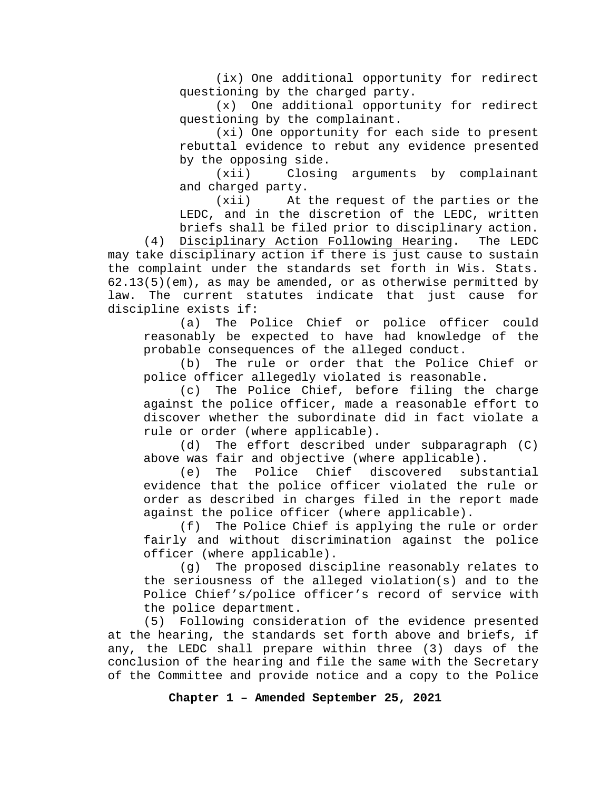(ix) One additional opportunity for redirect questioning by the charged party.

(x) One additional opportunity for redirect questioning by the complainant.

(xi) One opportunity for each side to present rebuttal evidence to rebut any evidence presented by the opposing side.

(xii) Closing arguments by complainant and charged party.

(xii) At the request of the parties or the LEDC, and in the discretion of the LEDC, written briefs shall be filed prior to disciplinary action.

(4) Disciplinary Action Following Hearing. The LEDC may take disciplinary action if there is just cause to sustain the complaint under the standards set forth in Wis. Stats. 62.13(5)(em), as may be amended, or as otherwise permitted by law. The current statutes indicate that just cause for discipline exists if:<br>(a) The Po

The Police Chief or police officer could reasonably be expected to have had knowledge of the probable consequences of the alleged conduct.

(b) The rule or order that the Police Chief or police officer allegedly violated is reasonable.

(c) The Police Chief, before filing the charge against the police officer, made a reasonable effort to discover whether the subordinate did in fact violate a rule or order (where applicable).

(d) The effort described under subparagraph (C) above was fair and objective (where applicable).

(e) The Police Chief discovered substantial evidence that the police officer violated the rule or order as described in charges filed in the report made against the police officer (where applicable).

(f) The Police Chief is applying the rule or order fairly and without discrimination against the police officer (where applicable).

(g) The proposed discipline reasonably relates to the seriousness of the alleged violation(s) and to the Police Chief's/police officer's record of service with the police department.

(5) Following consideration of the evidence presented at the hearing, the standards set forth above and briefs, if any, the LEDC shall prepare within three (3) days of the conclusion of the hearing and file the same with the Secretary of the Committee and provide notice and a copy to the Police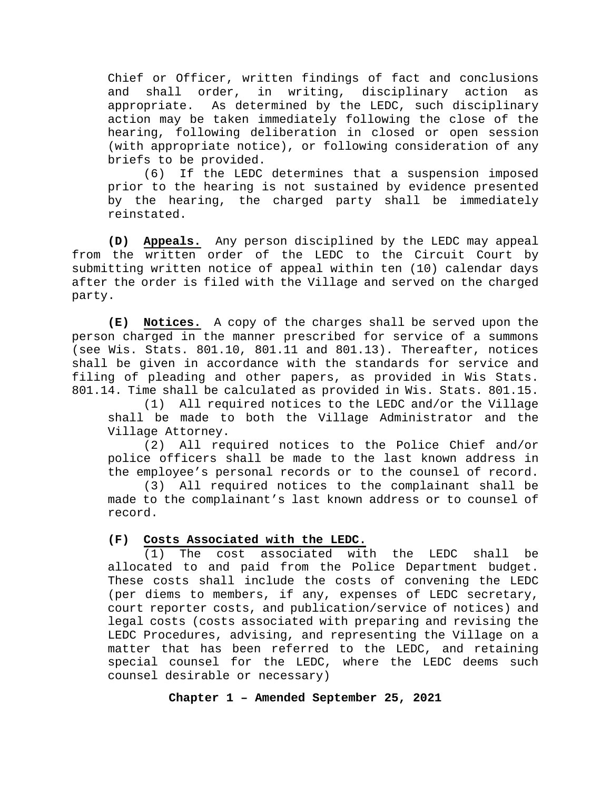Chief or Officer, written findings of fact and conclusions<br>and shall order, in writing, disciplinary action as and shall order, in writing, disciplinary action appropriate. As determined by the LEDC, such disciplinary action may be taken immediately following the close of the hearing, following deliberation in closed or open session (with appropriate notice), or following consideration of any briefs to be provided.

(6) If the LEDC determines that a suspension imposed prior to the hearing is not sustained by evidence presented by the hearing, the charged party shall be immediately reinstated.

**(D) Appeals.** Any person disciplined by the LEDC may appeal from the written order of the LEDC to the Circuit Court by submitting written notice of appeal within ten (10) calendar days after the order is filed with the Village and served on the charged party.

**(E) Notices.** A copy of the charges shall be served upon the person charged in the manner prescribed for service of a summons (see Wis. Stats. 801.10, 801.11 and 801.13). Thereafter, notices shall be given in accordance with the standards for service and filing of pleading and other papers, as provided in Wis Stats. 801.14. Time shall be calculated as provided in Wis. Stats. 801.15.

(1) All required notices to the LEDC and/or the Village shall be made to both the Village Administrator and the Village Attorney.

(2) All required notices to the Police Chief and/or police officers shall be made to the last known address in the employee's personal records or to the counsel of record.

(3) All required notices to the complainant shall be made to the complainant's last known address or to counsel of record.

### **(F) Costs Associated with the LEDC.**

(1) The cost associated with the LEDC shall be allocated to and paid from the Police Department budget. These costs shall include the costs of convening the LEDC (per diems to members, if any, expenses of LEDC secretary, court reporter costs, and publication/service of notices) and legal costs (costs associated with preparing and revising the LEDC Procedures, advising, and representing the Village on a matter that has been referred to the LEDC, and retaining special counsel for the LEDC, where the LEDC deems such counsel desirable or necessary)